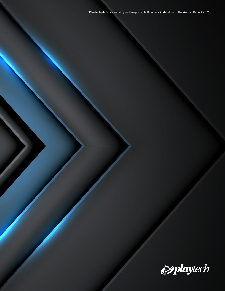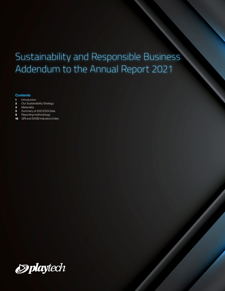## Sustainability and Responsible Business Addendum to the Annual Report 2021

#### **Contents**

- [Introduction](#page-2-0)
- [Our Sustainability Strategy](#page-3-0)
- [Materiality](#page-4-0)
- [Summary of 2021 ESG Data](#page-6-0)
- [Reporting methodology](#page-10-0)
- [GRI and SASB Indicators Index](#page-19-0)

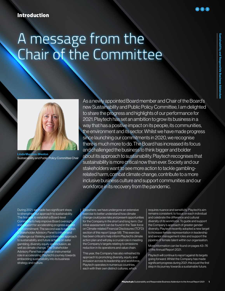## <span id="page-2-0"></span>Introduction

## A message from the Chair of the Committee



Linda Marston-Weston Sustainability and Public Policy Committee Chair

As a newly appointed Board member and Chair of the Board's new Sustainability and Public Policy Committee, I am delighted to share the progress and highlights of our performance for 2021. Playtech has set an ambition to grow its business in a way that has a positive impact on its people, its communities, the environment and its sector. Whilst we have made progress since launching our commitments in 2020, we recognise there is much more to do. The Board has increased its focus and challenged the business to think bigger and bolder about its approach to sustainability. Playtech recognises that sustainability is more critical now than ever. Society and our stakeholders want to see more action to tackle gamblingrelated harm, combat climate change, contribute to a more inclusive business culture and support communities and our workforce in its recovery from the pandemic.

During 2021, we made two significant steps to strengthen our approach to sustainability. The first was to establish a Board-level Committee to help improve Board oversight support for accelerating progress against r commitment. The second was to establish **Stakeholder Advisory Panel to inform and** challenge our thinking and inform our approach to sustainability and future actions on safer gambling, diversity equity and inclusion, as well as climate change. The Stakeholder Advisory Panel has played an instrumental role in accelerating Playtech's journey towards embedding sustainability into its business strategy and culture.

Elsewhere, we have undergone an extensive exercise to better understand how climate change could pose risks and present opportunities for the Company in the short and long term. Our initial assessment can be found in the Task force on Climate-related Financial Disclosures (TCFD) section of this report (page 58). This exercise has been critical to help inform Playtech's climate action plan and will play a crucial role in meeting the Company's targets relating to emissions reduction in its operations and value chain.

This year, the Company has also refreshed its approach to promoting diversity, equity and inclusion across its leadership and workforce. Playtech operates in numerous countries, each with their own distinct cultures, which

requires nuance and sensitivity. Playtech's aim remains consistent; to focus on each individual and celebrate the difference and cultural diversity of its workforce. To guide and support the Company's approach of greater gender diversity, Playtech recently adopted a new target to increase female representation in leadership and senior management roles and support the pipeline of female talent within our organisation.

#### More information can be found on pages 43–76 of the Annual Report 2021.

Playtech will continue to report against its targets going forward. Whilst the Company has made significant progress during 2021, this is just the first step in its journey towards a sustainable future.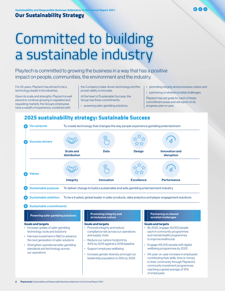### <span id="page-3-0"></span>Our Sustainability Strategy

# Committed to building a sustainable industry

Playtech is committed to growing the business in a way that has a positive impact on people, communities, the environment and the industry.

For 20 years, Playtech has strived to be a technology leader in its industries.

Given its scale and strengths, Playtech is well placed to continue growing in regulated and regulating markets; the Group's employees have a wealth of experience, combined with

the Company's data-driven technology and the proven ability to innovate.

At the heart of Sustainable Success, the Group has three commitments:

- powering safer gambling solutions;
- promoting integrity and an inclusive culture; and
- partnering on shared societal challenges.

Playtech has set goals for each of these commitment areas and will report on its progress year on year.

of employees

### 2025 sustainability strategy: Sustainable Success

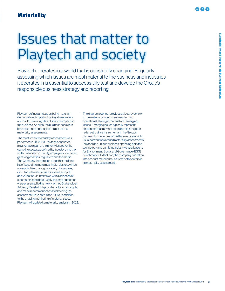## <span id="page-4-0"></span>Issues that matter to Playtech and society

Playtech operates in a world that is constantly changing. Regularly assessing which issues are most material to the business and industries it operates in is essential to successfully test and develop the Group's responsible business strategy and reporting.

Playtech defines an issue as being material if it is considered important by key stakeholders and could have a significant financial impact on the business. As such, the business considers both risks and opportunities as part of the materiality assessments.

The most recent materiality assessment was performed in Q4 2020. Playtech conducted a systematic scan of the priority issues for the gambling sector, as defined by investors and the wider financial community, employees, licensees, gambling charities, regulators and the media. The Company then grouped together the long list of issues into more meaningful clusters, which were prioritised through a variety of exercises, including internal interviews, as well as input and validation via interviews with a selection of external stakeholders. Lastly, the draft outcomes were presented to the newly formed Stakeholder Advisory Panel which provided additional insights and made recommendations for keeping the assessment up to date in the future. In addition to the ongoing monitoring of material issues, Playtech will update its materiality analysis in 2022. The diagram overleaf provides a visual overview of the material concerns, segmented into operational, strategic, material and emerging issues. Emerging issues typically represent challenges that may not be on the stakeholders' radar yet, but are instrumental in the Group's planning for the future. While this may break with usual conventions around materiality assessments, Playtech is a unique business, spanning both the technology and gambling industry classifications for Environment, Social and Governance (ESG) benchmarks. To that end, the Company has taken into account material issues from both sectors in its materiality assessment.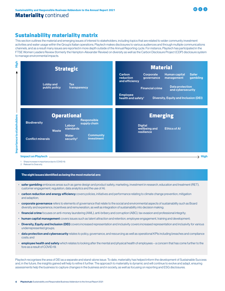

## Sustainability materiality matrix

This section outlines the material and emerging issues of interest to stakeholders, including topics that are related to wider community investment activities and water usage within the Group's Italian operations. Playtech makes disclosures to various audiences and through multiple communications channels, and as a result many issues are reported in more depth outside of the Annual Reporting cycle. For instance, Playtech has participated in the FTSE Women Leaders Review (formerly the Hampton-Alexander Review) on diversity as well as the Carbon Disclosure Project (CDP) disclosure system to manage environmental impacts.

|                                     | <b>Strategic</b>                                                                                                    | <b>Material</b>                                                                                                                                                                                                                                                                                                  |
|-------------------------------------|---------------------------------------------------------------------------------------------------------------------|------------------------------------------------------------------------------------------------------------------------------------------------------------------------------------------------------------------------------------------------------------------------------------------------------------------|
| <b>Lobby and</b><br>public policy   | <b>Tax</b><br>transparency                                                                                          | Carbon<br><b>Human capital</b><br><b>Safer</b><br>Corporate<br>gambling<br>reduction<br>management<br>governance<br>and efficiency<br><b>Data protection</b><br><b>Financial crime</b><br>and cybersecurity<br><b>Employee</b><br><b>Diversity, Equity and Inclusion (DEI)</b><br>health and safety <sup>1</sup> |
|                                     |                                                                                                                     |                                                                                                                                                                                                                                                                                                                  |
| <b>Biodiversity</b><br><b>Waste</b> | <b>Operational</b><br><b>Responsible</b><br>supply chain<br>Labour<br>standards<br><b>Community</b><br><b>Water</b> | <b>Emerging</b><br><b>Digital</b><br><b>Ethics of Al</b><br>wellbeing and<br>resilience                                                                                                                                                                                                                          |

1 Sharp increase in importance due to COVID-19.

2 Relevant to Snai only.

#### The eight issues identified as being the most material are:

- safer gambling embraces areas such as game design and product safety, marketing, investment in research, education and treatment (RET), customer engagement, regulation, data analytics and the use of AI;
- carbon reduction and energy efficiency covers policies, initiatives and performance relating to climate change prevention, mitigation and adaption;
- corporate governance refers to elements of governance that relate to the social and environmental aspects of sustainability such as Board diversity and experience, incentives and remuneration, as well as integration of sustainability into decision making;
- financial crime focuses on anti-money laundering (AML), anti-bribery and corruption (ABC), tax evasion and professional integrity;
- human capital management covers issues such as talent attraction and retention, employee engagement, training and development;
- Diversity, Equity and Inclusion (DEI) covers increased representation and inclusivity covers increased representation and inclusivity for various underrepresented groups;
- data protection and cybersecurity relates to policy, governance, and resourcing as well as operational KPIs including breaches and compliance costs; and
- employee health and safety which relates to looking after the mental and physical health of employees a concern that has come further to the fore as a result of COVID-19.

Playtech recognises the area of DEI as a separate and stand-alone issue. To date, materiality has helped inform the development of Sustainable Success and, in the future, the insights gained will help to refine it further. The approach to materiality is dynamic and will continue to evolve and adapt, ensuring assessments help the business to capture changes in the business and in society, as well as focusing on reporting and ESG disclosures.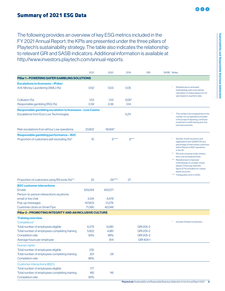## <span id="page-6-0"></span>Summary of 2021 ESG Data

The following provides an overview of key ESG metrics included in the FY 2021 Annual Report; the KPIs are presented under the three pillars of Playtech's sustainability strategy. The table also indicates the relationship to relevant GRI and SASB indicators. Additional information is available at [http://www.investors.playtech.com/annual-reports.](http://www.investors.playtech.com/annual-reports)

|                                                                                                                                                                                 | 2021                                  | 2020                                 | 2019    | <b>GRI</b>                                       | SASB Notes                                                                                                                                                                                                                                                                                                                                                                                                                                         |
|---------------------------------------------------------------------------------------------------------------------------------------------------------------------------------|---------------------------------------|--------------------------------------|---------|--------------------------------------------------|----------------------------------------------------------------------------------------------------------------------------------------------------------------------------------------------------------------------------------------------------------------------------------------------------------------------------------------------------------------------------------------------------------------------------------------------------|
| <b>Pillar 1 – POWERING SAFER GAMBLING SOLUTIONS</b>                                                                                                                             |                                       |                                      |         |                                                  |                                                                                                                                                                                                                                                                                                                                                                                                                                                    |
| <b>Escalations to licensees - iPoker</b>                                                                                                                                        |                                       |                                      |         |                                                  |                                                                                                                                                                                                                                                                                                                                                                                                                                                    |
| Anti-Money Laundering (AML) (%)                                                                                                                                                 | 0.02                                  | 0.03                                 | 0.05    |                                                  | Restated due to amended<br>methodology with more refined<br>calculation of unique players for full<br>year based on quarterly data.                                                                                                                                                                                                                                                                                                                |
| Collusion (%)                                                                                                                                                                   | 1.03                                  | 1.03                                 | $6.06*$ |                                                  |                                                                                                                                                                                                                                                                                                                                                                                                                                                    |
| Responsible gambling (RG) (%)                                                                                                                                                   | 0.39                                  | 0.36                                 | 0.14    |                                                  |                                                                                                                                                                                                                                                                                                                                                                                                                                                    |
| Responsible gambling escalation to licensees - Live Casino<br>Escalations from Euro Live Technologies                                                                           |                                       |                                      | 5,211   |                                                  | This number has increased due to the<br>number of Live operations included<br>in the scope of reporting, continued<br>investment in staff training and chat<br>tool improvements.                                                                                                                                                                                                                                                                  |
| Risk escalations from all four Live operations                                                                                                                                  | 23,802                                | 19,558*                              |         |                                                  |                                                                                                                                                                                                                                                                                                                                                                                                                                                    |
| Responsible gambling performance - B2C<br>Proportion of customers self-excluding (%)*                                                                                           | 10                                    | $9***$                               | $9***$  |                                                  | Number of self-exclusions and<br>registrations with GAMSTOP as a<br>percentage of total unique customers<br>within Playtech's B2C operations<br>in the UK.<br>$\star\star$<br>RG tools comprise reality checks,<br>time-outs and deposit limits.<br>***<br>Restated due to improved<br>methodology to consider unique<br>players. Previously reported<br>figure (27%) included non-unique<br>player accounts.<br>**** Transposition error in 2020. |
| Proportion of customers using RG tools (%)**                                                                                                                                    | 32                                    | $29***$                              | 27      |                                                  |                                                                                                                                                                                                                                                                                                                                                                                                                                                    |
| <b>B2C customer interactions</b><br><b>Emails</b><br>Person-to-person interactions via phone,<br>email or live chat<br>Pop-up messages<br><b>Customer clicks on SmartTips</b>   | 529,244<br>5,314<br>147.603<br>71.390 | 420.071<br>6.478<br>21,276<br>42,048 |         |                                                  |                                                                                                                                                                                                                                                                                                                                                                                                                                                    |
| Pillar 2 - PROMOTING INTEGRITY AND AN INCLUSIVE CULTURE                                                                                                                         |                                       |                                      |         |                                                  |                                                                                                                                                                                                                                                                                                                                                                                                                                                    |
| <b>Training overview</b><br>Compliance*<br>Total number of employees eligible<br>Total number of employees completing training<br>Completion rate<br>Average hours per employee | 6,279<br>5,822<br>93%                 | 5.080<br>4,981<br>98%<br>9.14        |         | GRI 205-2<br>GRI 205-2<br>GRI 205-2<br>GRI 404-1 | Includes Snaitech employees.                                                                                                                                                                                                                                                                                                                                                                                                                       |
| Human rights<br>Total number of employees eligible<br>Total number of employees completing training<br>Completion rate<br><b>Customer interactions (B2C)</b>                    | 235<br>201<br>86%                     | 29                                   |         |                                                  |                                                                                                                                                                                                                                                                                                                                                                                                                                                    |
| Total number of employees eligible<br>Total number of employees completing training<br>Completion rate                                                                          | 177<br>165<br>93%                     | 116                                  |         |                                                  |                                                                                                                                                                                                                                                                                                                                                                                                                                                    |

**KAAA**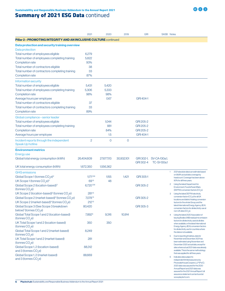## **Summary of 2021 ESG Data continued**

|                                                                               | 2021                   | 2020       | 2019         | <b>GRI</b> | SASB Notes                                      |                                                                                                                                        |  |
|-------------------------------------------------------------------------------|------------------------|------------|--------------|------------|-------------------------------------------------|----------------------------------------------------------------------------------------------------------------------------------------|--|
| <b>Pillar 2 – PROMOTING INTEGRITY AND AN INCLUSIVE CULTURE</b> continued      |                        |            |              |            |                                                 |                                                                                                                                        |  |
| Data protection and security training overview                                |                        |            |              |            |                                                 |                                                                                                                                        |  |
| Data protection                                                               |                        |            |              |            |                                                 |                                                                                                                                        |  |
| Total number of employees eligible                                            | 6,279                  |            |              |            |                                                 |                                                                                                                                        |  |
| Total number of employees completing training                                 | 5,822                  |            |              |            |                                                 |                                                                                                                                        |  |
| Completion rate                                                               | 93%                    |            |              |            |                                                 |                                                                                                                                        |  |
| Total number of contractors eligible                                          | 38                     |            |              |            |                                                 |                                                                                                                                        |  |
| Total number of contractors completing training                               | 33                     |            |              |            |                                                 |                                                                                                                                        |  |
| Completion rate                                                               | 87%                    |            |              |            |                                                 |                                                                                                                                        |  |
| Information security                                                          |                        |            |              |            |                                                 |                                                                                                                                        |  |
| Total number of employees eligible                                            | 5,431                  | 5,420      |              |            |                                                 |                                                                                                                                        |  |
| Total number of employees completing training                                 | 5,306                  | 5,333      |              |            |                                                 |                                                                                                                                        |  |
| Completion rate                                                               | 98%                    | 98%        |              |            |                                                 |                                                                                                                                        |  |
| Average hours per employee                                                    |                        | 0.67       |              | GRI 404-1  |                                                 |                                                                                                                                        |  |
| Total number of contractors eligible                                          | 37                     |            |              |            |                                                 |                                                                                                                                        |  |
| Total number of contractors completing training                               | 33                     |            |              |            |                                                 |                                                                                                                                        |  |
| Completion rate                                                               | 89%                    |            |              |            |                                                 |                                                                                                                                        |  |
| Global compliance - senior leader                                             |                        |            |              |            |                                                 |                                                                                                                                        |  |
| Total number of employees eligible                                            |                        | 1,044      |              | GRI 205-2  |                                                 |                                                                                                                                        |  |
| Total number of employees completing training                                 |                        | 881        |              | GRI 205-2  |                                                 |                                                                                                                                        |  |
| Completion rate                                                               |                        | 84%        |              | GRI 205-2  |                                                 |                                                                                                                                        |  |
| Average hours per employee                                                    |                        | 1.5        |              | GRI 404-1  |                                                 |                                                                                                                                        |  |
|                                                                               | $\overline{2}$         | $\circ$    | $\mathbf{O}$ |            |                                                 |                                                                                                                                        |  |
| Incident reports through the independent<br>Speak Up hotline                  |                        |            |              |            |                                                 |                                                                                                                                        |  |
| <b>Environment metrics</b>                                                    |                        |            |              |            |                                                 |                                                                                                                                        |  |
| <b>Energy use</b>                                                             |                        |            |              |            |                                                 |                                                                                                                                        |  |
| Global total energy consumption (kWh)                                         | 26,404,609             | 27,677,113 | 30,932,101   | GRI 302-4  | GRI 302-1, SV-CA-130a.1,<br><b>TC-SI-130a.1</b> |                                                                                                                                        |  |
| UK total energy consumption (kWh)                                             | 1,672,350              | 1,556,362  |              |            |                                                 |                                                                                                                                        |  |
| <b>GHG</b> emissions                                                          |                        |            |              |            |                                                 | 2021 absolute data is an estimate based<br>1.                                                                                          |  |
| Global Scope 1 (tonnes CO <sub>2</sub> e) <sup>2</sup>                        | 1.171 <sup>1,5,6</sup> | 1,155      | 1,421        | GRI 305-1  |                                                 | on 99.8% actual data coverage by<br>headcount. Coverage has been above                                                                 |  |
| UK Scope 1 (tonnes CO <sub>2</sub> e) <sup>2</sup>                            | 691,5                  | 48         |              |            |                                                 | 90% for all three years.                                                                                                               |  |
| Global Scope 2 (location-based) <sup>3</sup>                                  | 6.7201,5,6             |            |              | GRI 305-2  |                                                 | Using the latest Department for<br>2                                                                                                   |  |
| (tonnes CO <sub>2</sub> e)                                                    |                        |            |              |            |                                                 | Environment, Food & Rural Affairs<br>(DEFRA) conversion factors (CO.e).                                                                |  |
| UK Scope 2 (location-based) <sup>3</sup> (tonnes CO <sub>2</sub> e)           | 281 <sup>1,5</sup>     |            |              |            |                                                 | Using the latest DEFRA electricity<br>3                                                                                                |  |
| Global Scope 2 (market-based) <sup>4</sup> (tonnes CO <sub>2</sub> e)         | 7.078 <sup>1,5</sup>   |            |              | GRI 305-2  |                                                 | conversion factor (CO <sub>2</sub> e) for all UK<br>locations and district heating conversion                                          |  |
| UK Scope 2 (market-based) <sup>4</sup> (tonnes CO <sub>2</sub> e)             | $212^{1,5}$            |            |              |            |                                                 | factors for the whole Group, and the                                                                                                   |  |
| Global Scope 3 (See Scope 3 breakdown<br>below) <sup>1</sup> (tonnes $CO2$ e) | 80,420                 |            |              | GRI 305-3  |                                                 | latest International Energy Agency (IEA)<br>conversion factors for all electricity use at                                              |  |
| Global Total Scope 1 and 2 (location-based)                                   | 7,892 <sup>6</sup>     | 9,316      | 10,914       |            |                                                 | non-UK sites (CO <sub>2</sub> e).<br>Using the latest 2020 Association of<br>4                                                         |  |
| (tonnes $CO2$ e)                                                              |                        |            |              |            |                                                 | Issuing Bodies (AIB) residual mix emission                                                                                             |  |
| UK Total Scope 1 and 2 (location-based)<br>(tonnes $CO2$ e)                   | 350                    | 350        |              |            |                                                 | factors for all electricity used at all sites<br>when available, or the latest International<br>Energy Agency (IEA) conversion factors |  |
| Global Total Scope 1 and 2 (market-based)                                     | 8,249                  |            |              |            |                                                 | for all electricity use for countries where<br>the data is not available.                                                              |  |
| (tonnes CO <sub>2</sub> e)                                                    |                        |            |              |            |                                                 | Due to reporting timelines, data for<br>5                                                                                              |  |
| UK Total Scope 1 and 2 (market-based)<br>(tonnes $CO2e$ )                     | 281                    |            |              |            |                                                 | November and December 2021 has<br>been estimated using November and                                                                    |  |
| Global Scope 1, 2 (location-based)                                            | 88,312                 |            |              |            |                                                 | December 2020 actual data, except for                                                                                                  |  |
| and $3$ (tonnes $CO2e$ )                                                      |                        |            |              |            |                                                 | sites where actual 2021 data was already<br>available. This is the same methodology                                                    |  |
| Global Scope 1, 2 (market-based)                                              | 88,669                 |            |              |            |                                                 | that was applied for all three years.                                                                                                  |  |
| and 3 (tonnes CO <sub>2</sub> e)                                              |                        |            |              |            |                                                 | Indicates data subject to<br>6<br>independent limited assurance by                                                                     |  |
|                                                                               |                        |            |              |            |                                                 | PricewaterhouseCoopersLLP (PwC).                                                                                                       |  |
|                                                                               |                        |            |              |            |                                                 | 2020 data was assured for the 2020<br>Annual Report and 2021 data was                                                                  |  |
|                                                                               |                        |            |              |            |                                                 | assured for the 2021 Annual Report; full                                                                                               |  |
|                                                                               |                        |            |              |            |                                                 | assurance statement can be found at<br>www.playtech.com.                                                                               |  |

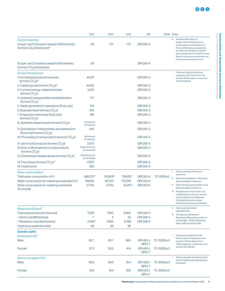|                                                                                                                                 | 2021                                        | 2020                 | 2019        | <b>GRI</b>                   |                    | SASB Notes                                                                                                                                                                                                                                                                               |
|---------------------------------------------------------------------------------------------------------------------------------|---------------------------------------------|----------------------|-------------|------------------------------|--------------------|------------------------------------------------------------------------------------------------------------------------------------------------------------------------------------------------------------------------------------------------------------------------------------------|
| Carbon intensity<br>Scope 1 and 2 (location-based) GHG intensity<br>(tonnes CO <sub>2</sub> e/employee) <sup>6</sup>            | 114                                         | 1.37                 | 1.70        | GRI 305-4                    |                    | Indicates data subject to<br>6<br>independent limited assurance<br>by PricewaterhouseCoopers LLP<br>(PwC). 2020 data was assured for<br>the 2020 Annual Report and 2021<br>data was assured for the 2021 Annual<br>Report; full assurance statement can<br>be found at www.playtech.com. |
| Scope 1 and 2 (market-based) GHG intensity<br>(tonnes CO <sub>2</sub> e/employee)                                               | 1.19                                        |                      |             | GRI 305-4                    |                    |                                                                                                                                                                                                                                                                                          |
| Scope 3 breakdown                                                                                                               |                                             |                      |             |                              |                    | These are Playtech's top three                                                                                                                                                                                                                                                           |
| 1: Purchased goods and services<br>(tonnes CO <sub>2</sub> e)*                                                                  | 41,031                                      |                      |             | GRI 305-3                    |                    | categories. Over 90% of the total<br>Scope 3 GHG footprint comes from<br>those categories.                                                                                                                                                                                               |
| 2: Capital goods (tonnes CO <sub>2</sub> e)*                                                                                    | 14,842                                      |                      |             | GRI 305-3                    |                    |                                                                                                                                                                                                                                                                                          |
| 3: Fuel and energy-related activities<br>(tonnes $CO2$ e)                                                                       | 2,610                                       |                      |             | GRI 305-3                    |                    |                                                                                                                                                                                                                                                                                          |
| 4: Upstream transportation and distribution<br>(tonnes $CO2$ e)                                                                 | 177                                         |                      |             | GRI 305-3                    |                    |                                                                                                                                                                                                                                                                                          |
| 5: Waste generated in operations (Snai only)                                                                                    | 154                                         |                      |             | GRI 305-3                    |                    |                                                                                                                                                                                                                                                                                          |
| 6: Business travel (tonnes CO <sub>2</sub> e)                                                                                   | 445                                         |                      |             | GRI 305-3                    |                    |                                                                                                                                                                                                                                                                                          |
| 7: Employee commuting (Snai only)<br>(tonnes $CO2$ e)                                                                           | 184                                         |                      |             | GRI 305-3                    |                    |                                                                                                                                                                                                                                                                                          |
| 8: Upstream leased assets (tonnes CO <sub>2</sub> e)                                                                            | Not relevant<br>for Playtech                |                      |             | GRI 305-3                    |                    |                                                                                                                                                                                                                                                                                          |
| 9: Downstream transportation and distribution<br>(Snai only) (tonnes $CO2$ e)                                                   | 542                                         |                      |             | GRI 305-3                    |                    |                                                                                                                                                                                                                                                                                          |
| 10: Processing of sold products (tonnes CO <sub>2</sub> e)                                                                      | Not relevant<br>for Playtech                |                      |             | GRI 305-3                    |                    |                                                                                                                                                                                                                                                                                          |
| 11: Use of sold products (tonnes CO <sub>2</sub> e)<br>12: End-of-life treatment of sold products<br>(tonnes CO <sub>2</sub> e) | 2,070<br>Relevant but not<br>yet calculated |                      |             | GRI 305-3<br>GRI 305-3       |                    |                                                                                                                                                                                                                                                                                          |
| 13: Downstream leased assets (tonnes CO <sub>2</sub> e)                                                                         | Relevant but not<br>yet calculated          |                      |             | GRI 305-3                    |                    |                                                                                                                                                                                                                                                                                          |
| 14: Franchises (tonnes CO <sub>2</sub> e)*                                                                                      | 17,972                                      |                      |             | GRI 305-3                    |                    |                                                                                                                                                                                                                                                                                          |
| 15: Investments                                                                                                                 | 392                                         |                      |             | GRI 305-3                    |                    |                                                                                                                                                                                                                                                                                          |
| Water consumption                                                                                                               |                                             |                      |             |                              |                    | Data covering all of Playtech's<br>7.                                                                                                                                                                                                                                                    |
| Total water consumption (m <sup>3</sup> )                                                                                       | 688,7078                                    | 611,629 <sup>9</sup> | 719,63510   | GRI 303-5                    | TC-SI130a.2        | operations.                                                                                                                                                                                                                                                                              |
| Water consumption for watering racetracks (m <sup>3</sup> )                                                                     | 188,150                                     | 167,831              | 175,259     | GRI 303-5                    |                    | 8<br>2021 estimate based on 73% actual<br>data coverage by headcount.                                                                                                                                                                                                                    |
| Water consumption for watering racetracks<br>(% of total)                                                                       | 27.3%                                       | 27.4%                | 24.4%10     | GRI 303-5                    |                    | 2020 estimate based on 84% actual<br>9<br>data coverage by headcount.                                                                                                                                                                                                                    |
|                                                                                                                                 |                                             |                      |             |                              |                    | 10 Restated due to the inclusion of a<br>multiplying factor that was used for<br>water charges in the Philippines.<br>Calculations have since been<br>restated to the actual consumption.                                                                                                |
| Waste and effluent <sup>11</sup>                                                                                                |                                             |                      |             |                              |                    | 11 Data covering Snaitech                                                                                                                                                                                                                                                                |
| Total waste production (tonnes)                                                                                                 | 7,056                                       | 7,665                | 8,850       | GRI 306-3                    |                    | operations only.<br>This figure is split between<br>12 <sup>°</sup>                                                                                                                                                                                                                      |
| > Sent to landfill (tonnes)                                                                                                     | 7                                           | 5                    | 52          | GRI 306-5                    |                    | Racetracks (Manure/by-product of                                                                                                                                                                                                                                                         |
| > Reused or recycled (tonnes)<br>Hazardous waste (tonnes)                                                                       | 7,048 <sup>12</sup><br>49                   | 7,660<br>66          | 8,798<br>96 | GRI 306-4                    |                    | animal origin - 6,496), Racetracks<br>(other-358) and offices (195).                                                                                                                                                                                                                     |
| <b>Gender splits</b>                                                                                                            |                                             |                      |             |                              |                    |                                                                                                                                                                                                                                                                                          |
| Employees (%)*                                                                                                                  |                                             |                      |             |                              |                    | Employees are defined as the                                                                                                                                                                                                                                                             |
| Male                                                                                                                            | 62.7                                        | 60.7                 | 58.6        | GRI 405-1,<br><b>GRI 2-7</b> | <b>TC-SI330a.3</b> | total number of employees on the<br>payroll on 31 December. Out of<br>7,698 employees, 11 preferred not to                                                                                                                                                                               |
| Female                                                                                                                          | 37.3                                        | 39.3                 | 41.4        | GRI 405-1,<br><b>GRI 2-7</b> | TC-SI330a.3        | disclose their gender.                                                                                                                                                                                                                                                                   |
| Senior managers (%)**                                                                                                           |                                             |                      |             |                              |                    | Senior managers are defined as the                                                                                                                                                                                                                                                       |
| Male                                                                                                                            | 80.8                                        | 80.6                 | 81.4        | GRI 405-1,<br><b>GRI 2-7</b> | <b>TC-SI330a.3</b> | top 500 highest earning employees<br>at Playtech.                                                                                                                                                                                                                                        |
| Female                                                                                                                          | 19.2                                        | 19.4                 | 18.6        | GRI 405-1,<br><b>GRI 2-7</b> | TC-SI330a.3        |                                                                                                                                                                                                                                                                                          |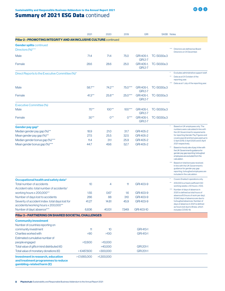## **Summary of 2021 ESG Data continued**

|                                                                                                      | 2021        | 2020       | 2019      | <b>GRI</b>                   |                    | SASB Notes                                                                                                                                                                                                        |
|------------------------------------------------------------------------------------------------------|-------------|------------|-----------|------------------------------|--------------------|-------------------------------------------------------------------------------------------------------------------------------------------------------------------------------------------------------------------|
| <b>Pillar 2 - PROMOTING INTEGRITY AND AN INCLUSIVE CULTURE</b> continued                             |             |            |           |                              |                    |                                                                                                                                                                                                                   |
| <b>Gender splits continued</b><br>Directors (%)***                                                   |             |            |           |                              |                    | $***$<br>Directors are defined as Board<br>Directors on 31 December.                                                                                                                                              |
| Male                                                                                                 | 71.4        | 71.4       | 75.0      | GRI 405-1,<br><b>GRI 2-7</b> | TC-SI330a.3        |                                                                                                                                                                                                                   |
| Female                                                                                               | 28.6        | 28.6       | 25.0      | GRI 405-1,<br><b>GRI 2-7</b> | <b>TC-SI330a.3</b> |                                                                                                                                                                                                                   |
| Direct Reports to the Executive Committee (%)*                                                       |             |            |           |                              |                    | Excludes administrative support staff.<br>$^{\star\star}$<br>Data as at 31 October of the<br>reporting year.<br>Data as at 1 July of the reporting year.                                                          |
| Male                                                                                                 | 58.7**      | 74.2**     | 75.0***   | GRI 405-1,<br><b>GRI 2-7</b> | <b>TC-SI330a.3</b> |                                                                                                                                                                                                                   |
| Female                                                                                               | $41.3***$   | $25.8***$  | $25.0***$ | GRI 405-1,<br><b>GRI 2-7</b> | TC-SI330a.3        |                                                                                                                                                                                                                   |
| <b>Executive Committee (%)</b>                                                                       |             |            |           |                              |                    |                                                                                                                                                                                                                   |
| Male                                                                                                 | $70**$      | $100**$    | $100***$  | GRI 405-1,<br><b>GRI 2-7</b> | TC-SI330a.3        |                                                                                                                                                                                                                   |
| Female                                                                                               | $30**$      | $0**$      | $0***$    | GRI 405-1,<br><b>GRI 2-7</b> | TC-SI330a.3        |                                                                                                                                                                                                                   |
| Gender pay gap*                                                                                      |             |            |           |                              |                    | Based on UK employees only. The                                                                                                                                                                                   |
| Median gender pay gap (%)**                                                                          | 18.9        | 21.0       | 31.7      | GRI 405-2                    |                    | numbers were calculated in line with<br>the UK Government's requirements                                                                                                                                          |
| Mean gender pay gap (%)**                                                                            | 27.5        | 25.5       | 32.5      | GRI 405-2                    |                    | for reporting Gender Pay Figures and<br>covers payroll and bonuses paid up to                                                                                                                                     |
| Median gender bonus gap (%)***                                                                       | 11.4        | 311        | 25.9      | GRI 405-2                    |                    | 5 April 2019, 5 April 2020 and 5 April                                                                                                                                                                            |
| Mean gender bonus gap (%)***                                                                         | 44.7        | 49.6       | 52.7      | GRI 405-2                    |                    | 2021 respectively.<br>$^{\star\star}$<br>Based on hourly rate of pay. In line with<br>the UK Government's guidance for<br>gender pay gap reporting, furloughed<br>employees are excluded from the<br>calculation. |
|                                                                                                      |             |            |           |                              |                    | Based on total bonuses received.<br>In line with the UK Government's<br>guidance for gender pay gap<br>reporting, furloughed employees are<br>included in the calculation.                                        |
| Occupational health and safety data*                                                                 |             |            |           |                              |                    | Covers Snaitech operations only.                                                                                                                                                                                  |
| Total number of accidents<br>Accident ratio: total number of accidents/                              | 10          | 4          | 11        | GRI 403-9                    |                    | $^{\star\star}$<br>200,000 is a fixed coefficient (50<br>working weeks x 40 hours x 100).                                                                                                                         |
| working hours x 200,000**                                                                            | 1.55        | 0.67       | 1.6       | GRI 403-9                    |                    | *** Number of days of absence in<br>2020 is defined as total hours of                                                                                                                                             |
| Number of days lost to accidents                                                                     | 266         | 88         | 310       | GRI 403-9                    |                    | absence/8 (hours of work per day);<br>31,942 days of absence are due to                                                                                                                                           |
| Severity of accident index: total days lost for<br>accidents/working hours x 200,000**               | 41.27       | 14.81      | 45.9      | GRI 403-9                    |                    | furloughed absences. Number of<br>days of absence in 2021 is defined<br>as hours lost due to illness, which                                                                                                       |
| Number of days' absence***                                                                           | 6,836       | 40,131     | 7,949     | GRI 403-10                   |                    | includes COVID-19.                                                                                                                                                                                                |
| Pillar 3 - PARTNERING ON SHARED SOCIETAL CHALLENGES                                                  |             |            |           |                              |                    |                                                                                                                                                                                                                   |
| <b>Community investment</b>                                                                          |             |            |           |                              |                    |                                                                                                                                                                                                                   |
| Number of countries reporting on                                                                     |             |            |           |                              |                    |                                                                                                                                                                                                                   |
| community investment                                                                                 | 11          | 10         |           | <b>GRI 413-1</b>             |                    |                                                                                                                                                                                                                   |
| Charities worked with                                                                                | >90         | $>100$     |           | GRI 413-1                    |                    |                                                                                                                                                                                                                   |
| Estimated cumulative number of                                                                       |             |            |           |                              |                    |                                                                                                                                                                                                                   |
| people engaged                                                                                       | >12,600     | >10,000    |           |                              |                    |                                                                                                                                                                                                                   |
| Total value of gifts in kind distributed $(\epsilon)$                                                |             | >40,000    |           | GRI 201-1                    |                    |                                                                                                                                                                                                                   |
| Total value of monetary donations $(\epsilon)$                                                       | >€487,600   | >300,000   |           | GRI 201-1                    |                    |                                                                                                                                                                                                                   |
| Investment in research, education<br>and treatment programmes to reduce<br>gambling-related harm (£) | >E1,665,000 | >1,300,000 |           |                              |                    |                                                                                                                                                                                                                   |

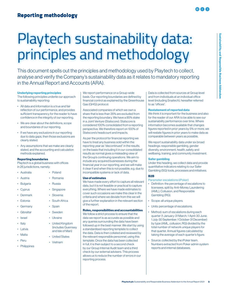# <span id="page-10-0"></span>Playtech sustainability data: principles and methodology

This document spells out the principles and methodology used by Playtech to collect, analyse and verify the Company's sustainability data as it relates to mandatory reporting in the Annual Report and Accounts (ARA).

#### Underlying reporting principles

The following principles underlie our approach to sustainability reporting:

- All data and information is a true and fair reflection of our performance, and provides sufficient transparency for the reader to have confidence in the integrity of our reporting.
- We are clear about the definitions, scope and boundaries of our reporting.
- If we have any exclusions in our reporting due to data gaps, then those exclusions are clearly stated.
- Any assumptions that we make are clearly stated, and the accounting and calculation methods explained.

#### Reporting boundaries

Playtech is a global business with offices in 26 jurisdictions, namely:

- Australia
- Austria
- Bulgaria
- Cyprus
- Denmark
- Estonia
- Germany
- Gibraltar
- Israel
- Italy
- Latvia
- Malta
- Peru
- 
- Philippines

We report performance on a Group-wide basis. Our reporting boundaries are defined by financial control as explained by the Greenhouse Gas (GHG) protocol.

Associated companies of which we own a share that is less than 35% are excluded from the reporting boundary. We have a 85% stake in a Joint Venture (Statscore). Statscore is considered 100% consolidated from a reporting perspective. We therefore report on 100% of Statscore's headcount and impacts.

As per the protocol for financial reporting we have to treat any business sold within the reporting year as "discontinued" in the results, on the basis that including it in our consolidated results as normal gives a misleading view of the Group's continuing operations. We aim to include any acquired businesses during the financial year in our reporting, and we will make it clear if and when this is not possible, e.g. due to incompatible systems or lack of data.

#### Use of estimates

We have made every effort to capture all relevant data, but it is not feasible or practical to capture everything. Where we have made estimates to cover such occasions we make this clear in the criteria and where we deviate from this we will give a further explanation in the relevant section of the report.

#### Roles, responsibilities and accountabilities

We follow a strict process to ensure that the data we report is as accurate as possible and any queries surrounding the data have been followed up in the best manner. We start by using a standardised reporting template to collect the data. Data is then collated and reviewed by the relevant responsible personnel, using this template. Once the data has been collected in full, it is then subject to a second check by our Group Internal Audit team and a third check by our external advisers. This process allows us to reduce the number of errors in our reporting process.

Data is collected from sources at Group level and from individuals at an individual office level (including Snaitech), hereafter referred to as "offices".

#### Restatement of reported data

We think it is important for the business and also for the reader of our ARA to be able to see our sustainability performance over time. Where information becomes available that changes figures reported in prior years by 5% or more, we will restate figures in prior years to make data as comparable between years as possible.

We report sustainability data under six broad headings: responsible gambling, gender diversity, environment, health, safety and wellbeing, training, and community investment.

#### Safer gambling

Under this heading, we collect data and provide quantitative indicators relating to our Safer Gambling (SG) tools, processes and initiatives.

#### B2B

- Parameter: escalations (iPoker)
- Definition: the percentage of escalations to licensees, split by Anti-Money Laundering (AML), Collusion, and Responsible Gambling (RG).
- Scope: all unique players.
- Units: percentage of escalations.
- Method: sum of escalations during each quarter (1 January-31 March; 1 April-30 June; 1 July-30 September; 1 October-31 December) by type (AML, collusion, RG) divided by the total number of network unique players for that quarter. Annual figures calculated by taking the average of each quarter's figure.
- Source: collected by the iPoker team. Numbers extracted from Poker admin system reports and internal databases.
- Romania
- Russia
- **Singapore**
- Slovenia
- South Africa
- Spain
- Sweden
- Ukraine
- United Kingdom (includes Guernsey and Isle of Man)
- United States
- Vietnam
- Poland
	-
	-
	-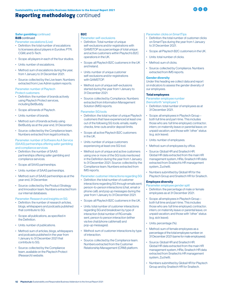## <span id="page-11-0"></span>Reporting methodology continued



#### **Safer gambling continued B2B** continued

Parameter: escalations (Live)

- Definition: the total number of escalations to licensees about players in Eurolive; PTR; CGM; and S-Tech.
- Scope: all players in each of the four studios.
- Units: number of escalations.
- Method: sum of escalations during the year, from 1 January to 31 December 2021.
- Source: collected by the Live team. Numbers extracted from Live Admin system reports.

Parameter: number of Playtech Protect customers

- Definition: the number of brands actively using Playtech Protect services, including BetBuddy.
- Scope: all brands of Playtech.
- Units: number of brands.
- Method: sum of brands actively using BetBuddy as at the year end, 31 December.
- Source: collected by the Compliance team. Numbers extracted from legal/contracts.

#### Parameter: number of Software As A Service (SAAS) partnerships offering safer gambling and compliance services

- Definition: the number of SAAS partnerships offering safer gambling and compliance services.
- Scope: all SAAS partnerships.
- Units: number of SAAS partnerships.
- Method: sum of SAAS partnerships as at the year end, 31 December.
- Source: collected by the Product Strategy and Innovation team. Numbers extracted from our internal databases.

Parameter: Research and insights on SG

- Definition: the number of research articles, blogs, whitepapers and podcasts published that contribute to SG.
- Scope: all publications, as specified in the Definition.
- Units: number of publications.
- Method: sum of articles, blogs, whitepapers and podcasts published in the year from 1 January to 31 December 2021 that contribute to SG.
- Source: collected by the Compliance team, available on the Playtech Protect (Research) website.

#### B2C

Parameter: self-exclusions

- Definition: Total number of unique self-exclusions and/or registrations with GAMSTOP as a percentage of total unique and active customers within Playtech's B2C operations in the UK.
- Scope: all Playtech B2C customers in the UK and Ireland.
- Units: number of unique customer self-exclusions and/or registrations with GAMSTOP.
- Method: sum of unique self-exclusions started during the year from 1 January to 31 December 2021.
- Source: collected by Compliance. Numbers extracted from Information Management Solution (IMS) reports.

#### Parameter: SG tools

- Definition: the total number of unique Playtech customers that have experienced at least one out of the following SG tools: emails, reality checks, time-outs and/or deposit limits.
- Scope: all active Playtech B2C customers in the UK.
- Units: number of unique customers experiencing at least one SG tool.
- Method: sum of unique and active customers using one or more of the SG tools mentioned in the Definition during the year from 1 January to 31 December 2021. Source: collected by the Compliance team. Numbers extracted from IMS reports.

Parameter: customer interactions regarding SG

- Definition: the total number of customer interactions regarding SG through emails sent; person-to-person interactions (chat, email or phone call); and pop up messages during the year from 1 January to 31 December 2021.
- Scope: all Playtech B2C customers in the UK.
- Units: total number of customer interactions regarding SG and breakdown by type of interaction (total number of RG emails sent, person to person interaction (either via live chat/phone call/email) and pop-up messages).
- Method: sum of customer interactions by type of interaction.
- Source: collected by the Compliance team. Numbers extracted from the Customer Relationship Management (CRM) platform.

Parameter: clicks on SmartTips

- Definition: the total number of customer clicks on SmartTips during the year from 1 January to 31 December 2021.
- Scope: all Playtech B2C customers in the UK.
- Units: total number of clicks.
- Method: sum of clicks.
- Source: collected by Compliance. Numbers extracted from IMS reports.

#### Gender diversity

Under this heading we collect data and report on indicators to assess the gender diversity of our employees.

#### Total employees

Parameter: employee number (henceforth "employee")

- Definition: total number of employees as at 31 December 2021.
- Scope: all employees in Playtech Group both full time and part-time. This includes those who are: full time employed; contractor; intern; on maternity leave or parental leave; on unpaid vacation; and those with "other" status (e.g. sick leave).
- Units: number of employees.
- Method: sum of employees by office.
- Source: Global HR and Snaitech HR. Global HR data extracted from the main HR management system, HRis; Snaitech HR data extracted from Snaitech's HR management system, Zuchetti.
- Numbers submitted by Global HR for the Playtech Group and Snaitech HR for Snaitech.

#### Employee diversity

Parameter: employee gender split

- Definition: the percentage of male or female employees as at 31 December 2021.
- Scope: all employees in Playtech Group both full time and part-time. This includes those who are: full time employed; contractor; intern; on maternity leave or parental leave; on unpaid vacation; and those with "other" status (e.g. sick leave).
- Units: percentage (%).
- Method: sum of female employees as a percentage of the total employee number on 31 December 2021 (same for male employees).
- Source: Global HR and Snaitech HR. Global HR data extracted from the main HR management system, HRis; Snaitech HR data extracted from Snaitech's HR management system, Zuchetti.
- Numbers submitted by Global HR for Playtech Group and by Snaitech HR for Snaitech.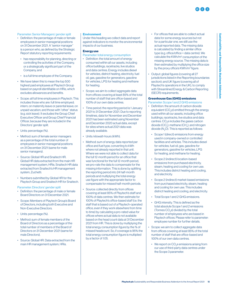<span id="page-12-0"></span>Parameter: Senior Managers' gender split

- Definition: the percentage of male or female employees in senior managerial positions on 31 December 2021. A "senior manager" is a person who, as defined by the Strategic Report statutory reporting requirements:
	- has responsibility for planning, directing or controlling the activities of the Company, or a strategically significant part of the Company, and
	- is a full time employee of the Company.
- We have taken this to mean the top 500 highest paid employees at Playtech Group based on payroll identifiable on HRis, which excludes allowances and benefits.
- Scope: all full time employees in Playtech. This includes those who are: full time employed; intern; on maternity leave or parental leave; on unpaid vacation; and those with "other" status (e.g. sick leave). It excludes the Group Chief Executive Officer and Group Chief Financial Officer, because they are included in the Directors' gender split.
- Units: percentage (%).
- Method: sum of female senior managers as a percentage of the total number of employees in senior managerial positions on 31 December 2021 (same for male senior managers).
- Source: Global HR and Snaitech HR. Global HR data extracted from the main HR management system, HRis. Snaitech HR data extracted from Snaitech's HR management system, Zuchetti.
- Numbers submitted by Global HR for the Playtech Group and Snaitech HR for Snaitech.

Parameter: Directors' gender split

- Definition: the percentage of male or female Board Directors on 31 December 2021.
- Scope: Members of Playtech Group's Board of Directors, including both Executive and Non-Executive Directors.
- Units: percentage (%).
- Method: sum of female members of the Board of Directors as a percentage of the total number of members of the Board of Directors on 31 December 2021 (same for male Directors).
- Source: Global HR. Data extracted from the main HR management system, HRis.

#### **Environment**

Under this heading we collect data and report against indicators to monitor the environmental impacts of our business.

#### Energy use

- Parameter: total energy consumption
- Definition: the total amount of energy consumed within all our assets, including office buildings, racetracks, live studios and data centres. Energy includes diesel for vehicles, district heating, electricity, fuel oil, gas, gasoline for generators, gasoline for vehicles, LPG for heating and methane for heating.
- Scope: we aim to collect aggregate data from offices covering at least 85% of the total number of staff that are office-based and 100% of our own data centres.
- Time period: the reporting period is 1 January 2021 to 31 December 2021. Due to reporting timelines, data for November and December 2021 has been estimated using November and December 2020 actual data, except for sites where actual 2021 data was already available.
- Units: kilowatt-hours (kWh).
- Method: sum of energy data reported per office and fuel type, converting to kWh where not already reported in that unit. Where we were not able to collect data for the full 12-month period for an office that was functional for the full 12-month period, we pro-rate the data to compensate for the missing information. This is done by splitting the reporting period into 24 half-month periods and multiplying the total energy use figure with the appropriate factor to compensate for missed half-month periods.
- Source: collected directly from offices covering at least 85% of Playtech's staff and 100% of data centres. We then estimate for 100% of Playtech's office-based staff (i.e. the staff that is based out of a Playtech-operated office, even if they work elsewhere from time to time) by calculating a pro-rated value for offices where actual data is not available based on the head count data at 31 December 2021 from HR. This is done by multiplying the total energy consumption figure by the % of missed headcount. So, if coverage is 95% the total energy consumption figure is multiplied by a factor of 1.05.
- For offices that are able to collect actual data for some energy sources but not for a particular one, we still use the actual reported data. The missing data is calculated by finding a similar office type (e.g. office/office + data centre). We calculate the KWh/m<sup>2</sup> consumption of the missing energy source. The missing data is then estimated by multiplying the office size by the proxy office's KWh/m<sup>2</sup> figure.
- Output: global figures (covering all 27 jurisdictions listed in the Reporting boundaries section); and UK figure (covering all of Playtech's operations in the UK), to comply with Streamlined Energy & Carbon Reporting (SECR) requirements.

#### Greenhouse Gas (GHG) emissions

- Parameter: Scope 1 and 2 GHG emissions
- Definition: the amount of carbon dioxide equivalent (CO<sub>2</sub>e) emitted through the energy used within all our assets, including office buildings, racetracks, live studios and data centres. CO $_2$ e includes the gases carbon dioxide (CO<sub>2</sub>); methane (CH<sub>4</sub>); and nitrogen dioxide (N $_{\textrm{\tiny{2}}}$ O). This is reported as follows:
	- Scope 1 (direct) emissions from energy used in company-owned or controlled facilities and vehicles. This includes diesel for vehicles, fuel oil, gas, gasoline for generators, gasoline for vehicles, LPG for heating, and methane for heating.
	- Scope 2 (indirect) location-based emissions from purchased electricity, steam, heating and cooling for own use. This includes district heating and cooling, and electricity.
	- Scope 2 (indirect) market-based emissions from purchased electricity, steam, heating and cooling for own use. This includes district heating and cooling, and electricity.
	- Total Scope 1 and 2 GHG emissions.
	- GHG intensity. This is defined as the total absolute Scope 1 and 2 emissions (Tonnes  $CO<sub>2</sub>$ e) divided by the total number of employees who are based in Playtech offices. Please refer to parameter: employee number for further details.
- Scope: we aim to collect aggregate data from offices covering at least 85% of the total number of staff that are office-based and 100% of our own data centres.
	- We report on CO<sub>2</sub>e emissions arising from our use of third-party data centres under the Scope 3 parameter.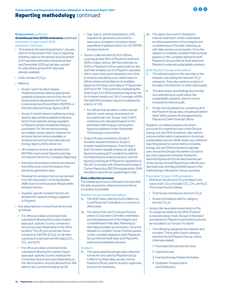## Reporting methodology continued



#### Environment continued

#### Greenhouse Gas (GHG) emissions continued Parameter: Scope 1 and 2 GHG emissions continued

- Time period: the reporting period is 1 January 2021 to 31 December 2021. Due to reporting timelines, data for November and December 2021 has been estimated using November and December 2020 actual data, except for sites where actual 2021 data was already available.
- Units: tonnes of CO<sub>2</sub>e.
- Method:
	- Scope 1 and 2 location-based: multiplying energy data by appropriate available emissions factors from the UK Government's Department for Food, Environment and Rural Affairs (DEFRA) or the International Energy Agency (IEA).
	- Scope 2 market-based: multiplying energy data by appropriate available emissions factors from specific energy suppliers to Playtech where renewable energy is purchased. For the remaining energy, we multiply energy data by residual mix emission factors where available, or emission factors from the International Energy Agency (IEA) where not.
	- UK emissions factors are derived from DEFRA's most recent Greenhouse Gas Conversion Factors for Company Reporting.
	- International emissions factors are derived from IEA's most recent Emissions from electricity generation data.
	- Residual mix emission factors are derived from the Association of Issuing Bodies (AIB) most recent European Residual Mix emission factors.
	- Supplier-specific emission factors are derived from specific energy suppliers to Playtech.
- Key assumptions in using these factors are as follows:
	- For office and data centre electricity calculated following the location-based approach, specific country conversion factors are used depending on the office location: The UK grid conversion factor comes from DEFRA (CO<sub>2</sub>e), for all other countries it is derived from IEA data (CO $_{\textrm{\tiny{\it 2}}'}$  $CH_{4}$ , and  $N_{2}O$ ).
	- For office and data centre electricity calculated following the market-based approach, specific country residual mix conversion factors are used depending on the office location, and are derived from AIB data for all countries including the UK.
- Gas, fuel oil, vehicle diesel/petrol, LPG, Gasoline for generators and District heat use a consistent conversion factor regardless of global location (i.e. UK DEFRA emission factors).
- Source: collected directly from offices covering at least 85% of Playtech's staff and 100% of data centres. We then estimate for 100% of Playtech's office-based staff (i.e. the staff that is based out of a Playtech-operated office, even if they work elsewhere from time to time) by calculating a pro-rated value for offices where actual data is not available, based on the head count data at 31 December 2021 from HR. This is done by multiplying the total Scope 1 & 2 GHG emissions figure by the % of missed headcount. So, if coverage is 95% the total GHG emission figure is multiplied by a factor of 1.05.
- For offices that are able to collect actual data for some energy sources but not for a particular one, Scope 1 and 2 GHG emissions are calculated based on the estimated KWh energy consumption figure as explained under Parameter: Total energy consumption.
- Output (Scope 1 emissions; Scope 2 (location-based) emissions; Scope 2 (market-based) emissions; Total Scope 1 and 2 (location-based) emissions): global figures (covering all 27 jurisdictions listed in the Reporting boundaries section); and UK figures (covering all of Playtech's operations in the UK), to comply with Streamlined Energy & Carbon Reporting (SECR) requirements. GHG intensity is reported as a global figure only.

#### Data collection process

The following process is followed to ensure that the data received is collated and reported as accurately as possible.

#### Playtech Group excluding Snaitech

- 1a. The GHG data collection tool is filled in by Local Financial Controllers on a country or office basis.
- 2a. The data is then sent to Group Finance, where a Corporate Controller undertakes an initial assessment of the integrity and completeness of the data, following up with data providers as necessary. Once the dataset is complete, Group Finance passes on the complete dataset to both Playtech's Group Internal Audit team and Playtech's external sustainability advisers.

#### Snaitech

1b. The same greenhouse gas data collection tool as the one used by Playtech Group is filled in by three data owners, one for Snaitech offices; one for property agencies; and one for racetracks.

2b. The data is then sent to Snaitech's Internal Audit team, which undertakes an initial assessment of the integrity and completeness of the data, following up with data owners as necessary. Once the dataset is complete, Snaitech Internal Audit passes on the complete dataset to both Playtech's Group Internal Audit team and Playtech's external sustainability advisers.

#### Both Playtech Group and Snaitech

- 3. The advisers perform the next step of the analysis, calculating the relevant  $\mathrm{CO}_2\mathrm{e}$ emissions. They also perform a check of the data in its final form to verify data quality.
- 4. The data review and findings are formally documented as an audit trail by the sustainability advisers, which in turn is reviewed by internal audit.
- 5. Finally, the full dataset (i.e. containing all of the Playtech Group data, including Snaitech data) will be signed off and approved by Playtech's Chief Financial Officer.

Snaitech, our Italian business unit which accounts for a significant part of the Group's energy use and GHG emissions, also reports environmental metrics separately in its annual sustainability reports. While these use a different reporting period for some metrics including energy use and GHG emissions (calendar year versus the Group's November-October), we check alignment between Snaitech's reported figures and those disclosed as part of the Group's Annual Reporting to identify any discrepancies and flag potential issues in the methodology followed for Group reporting.

#### Parameter: Scope 3 GHG emissions

- Definition: the amount CO<sub>2</sub>e emitted in our value chain.  $\mathsf{CO}_2$ e includes  $\mathsf{CO}_2$ ;  $\mathsf{CH}_4$ ; and  $\mathsf{N}_2\mathsf{O}$ . This is reported as follows:
	- Total Scope 3 emissions (tonnes CO $_2$ e).
	- Scope 3 emissions split by category  $\left(\text{tonnes CO}_{2}e\right)$ .
- Scope: We have determined which of the 15 categories listed by the GHG Protocol Corporate Value Chain (Scope 3) Standard are relevant to Playtech and therefore should be included in our Scope 3 footprint.
	- The following categories are relevant and included. The scope of each category includes the full Playtech Group, unless otherwise stated:
		- 1: Purchased Goods and Services.
		- 2: Capital Goods.
		- 3: Fuel and Energy Related Activities.
		- 4: Upstream Transportation and Distribution.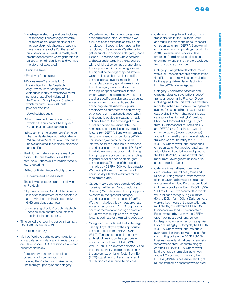Sustainability and Responsible Business Addendum

**Sustainability and Responsible Business Addend** 

- 5: Waste generated in operations. Includes Snaitech only. The waste generated by Snaitech's operations is significant, as they operate physical points of sale and three horse racetracks. For the rest of our operations, our waste is mostly small amounts of domestic waste generated in offices which is insignificant and we have therefore not calculated.
- 6: Business Travel.
- 7: Employee Commuting.
- 9: Downstream Transportation & Distribution. Includes Snaitech only. Downstream transportation & distribution is only relevant for a limited number of specific divisions within the Playtech Group beyond Snaitech, which manufacture or distribute physical products.
- 11: Use of sold products.
- 14: Franchises. Includes Snaitech only, which is the only part of the Playtech Group that operates franchises.
- 15: Investments. Includes all Joint Ventures that the Playtech Group participates in. Where a Joint Venture is excluded due to unavailable data, this is clearly disclosed and justified.
- The following categories are relevant but not included due to a lack of available data. We will endeavour to include these in future footprints:
	- 12: End-of-life treatment of sold products.
	- 13: Downstream Leased Assets.
- The following categories are not relevant for Playtech:
	- 8: Upstream Leased Assets. All emissions in relation to upstream leased assets are already included in the Scope 1 and 2 GHG emissions parameter.
	- 10: Processing of Sold Products. Playtech does not manufacture products that require further processing.
- Time period: the reporting period is 1 January 2021 to 31 December 2021.
- Units: tonnes of CO<sub>2</sub>e.
- Method: We have gathered a combination of actual data, activity data, and financial data to calculate Scope 3 GHG emissions, as detailed per category below:
	- Category 1: we gathered complete Operational Expenses (OpEx) covering the Playtech Group (excluding Snaitech) grouped by spend category.

We determined which spend categories needed to be included (for example we excluded spend related to energy, as this is included in Scope 1 & 2, or travel, as this is included in Category 6). We attempt to gather supplier-specific cradle-gate (Scope 1, 2 and 3) emission data where possible and practicable, targeting the categories with the highest percentage of spend and the suppliers within those categories with the highest percentage of spend. Where we are able to gather supplier-specific emissions data covering more than 10% of the total category spend, we estimate the full category emissions based on the supplier-specific emission factor. Where we are unable to do so, we use the supplier-specific emission data to calculate emissions from that specific supplier spend only. We also use the supplierspecific emission factors to calculate any other spend with that supplier, even when that spend is located in a category that is not prioritised for the gathering of actual supplier-specific emissions data. The remaining spend is multiplied by emission factors from DEFRA: Supply chain emission factors for spending on products (2014). For Snaitech, we gathered the same information for the top suppliers by spend, covering at least 70% of the total OpEx. We then follow a similar approach, identifying the top suppliers by spend and attempting to gather supplier-specific cradle-gate emissions data. The rest of the spend is multiplied by DEFRA (2014) emission factor. We multiply the sum of the calculated emissions by a factor to estimate for the missing coverage.

- Category 2: we gathered complete CapEx covering the Playtech Group (including Snaitech). We categorised the top suppliers by spend by their product category, covering at least 70% of the total CapEx. We then multiplied this by the appropriate emission factors from DEFRA: Supply chain emission factors for spending on products (2014). We then multiplied the sum by a factor to estimate for the missing coverage.
- Category 3: we multiplied the total energy used split by fuel type by the appropriate emission factor from DEFRA (2021): Well-To-Tank: fuels; the total electricity and district heating by the appropriate emission factor from DEFRA (2021): Well-To-Tank: UK & overseas electricity; and the total electricity and district heating by the appropriate emission factor from IEA (2021): adjustment for transmission and distribution losses induced emissions.
- Category 4: we gathered total OpEx on transportation for the Playtech Group and multiplied this by the Road Transport emission factor from DEFRA: Supply chain emission factors for spending on products (2014). We were unable to calculate emissions from distribution due to data unavailability, and this is therefore excluded from our Scope 3 inventory.
- Category 5: we gathered total volume of waste for Snaitech only, split by destination (landfill, reused or recycled) and multiplied by the appropriate emission factor from DEFRA (2021): Waste disposal.
- Category 6: calculated based on data on actual distance travelled by mode of transport covering the Playtech Group, including Snaitech. This excludes travel not recorded in the Group's travel management system, for example Board travel, due to data availability. For flights, each trip was categorised as Domestic, to/from UK; Short-haul, to/from UK; Long-haul, to/ from UK; International, to/from non-UK and DEFRA (2021) business travel: air emission factors (average passenger) applied. For travel by train, the total distance travelled was multiplied by the DEFRA (2021) business travel: land, national rail emission factor. For travel by rental car, the total distance travelled was multiplied by the DEFRA (2021) business travel: land, medium car, average size, unknown fuel source emission factor.
- Category 7: we gathered commuting data from two Snai offices (Rome and Milan), outlining means of transportation, distance, average homeworking rate, and average working days. Data was provided in distance brackets (<10km; 10-50km; 50- 100km; >100km); we assumed the middle value for each category (e.g. 30km for 10- 50 and 150km for >100km). Daily journeys were split by means of transportation and multiplied by the relevant DEFRA (2021) business travel: land emission factors. For commuting by subway, the DEFRA (2021) business travel: land, London Underground emission factor was applied. For commuting by motorcycle, the DEFRA (2021) business travel: land, motorbike average emission factor was applied. For commuting by train, the DEFRA (2021) business travel: land, national rail emission factor was applied. For commuting by car, the DEFRA (2021) business travel: land, average car emission factor was applied. For commuting by tram, the DEFRA (2021) business travel: land, light rail and tram emission factor was applied.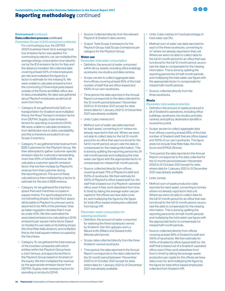### **Reporting methodology continued**

#### Environment continued

#### Data collection process continued

- For commuting by bus, the DEFRA (2021) business travel: land, average local bus emission factor was applied. For commuting by electric car, we multiplied the average energy consumption of an electric car by the IEA emission factor for Italy and the distance travelled. We collected data covering at least 60% of total employees per site and multiplied the figure by a factor to estimate for the missing %. We were unable to calculate emissions from the commuting of Snai employees based outside of the Rome and Milan office due to data unavailability. No data was gathered about Playtech employees as almost all work from home. Parameter: Scope 3 GHG emissions continued
	- Category 9: we gathered total OpEx on transportation for Snaitech and multiplied this by the Road Transport emission factor from DEFRA: Supply chain emission factors for spending on products (2014). We were unable to calculate emissions from distribution due to data unavailability, and this is therefore excluded from our Scope 3 inventory.
	- Category 11: we gathered total revenue from B2B Customers for the Playtech Group. We then attempted to gather customer-specific emission data for customers representing more than 65% of total B2B revenue. We calculate a customer-specific emission factor that we then multiply by Playtech's revenue from that customer during the reporting period. The sum of these calculations is then multiplied by a factor to estimate for the rest of B2B revenue.
	- Category 14: we gathered the total floor space that each franchise occupies in square metres. For sports playpoints (i.e. not full betting shops), the total floor space attributable to Playtech is unknown and is assumed to be 49% of the premises' total, as Italian regulation dictates that it must be under 50%. We then estimated the associated emissions by calculating a GHG emissions per square metre factor based on Snaitech's own data on its betting shops (the Snai Rete Italia division), and multiplied this by the total square metres occupied by the franchises.
	- Category 15: we gathered the total revenue of the investee companies with which entities within the Playtech Group have a Joint Venture, and apportioned this to the Playtech Group based on its share of the equity. We then multiplied the revenue by the appropriate emission factor from DEFRA: Supply chain emission factors for spending on products (2014).
- Source: Collected directly from the relevant Playtech & Snaitech data owners.
- Output: Total Scope 3 emissions for the Playtech Group; total Scope 3 emissions per category for the Playtech Group.

#### Water use

Parameter: total water consumption

- Definition: the amount of water consumed within all our assets, including office buildings, racetracks, live studios and data centres.
- Scope: we aim to collect aggregate data from offices covering at least 85% of the total number of staff that are office-based and 100% of our own racetracks.
- Time period: the data reported in the Annual Report corresponds to the data collected for the 12-month period between 1 November 2020 to 31 October 2021 except for sites where data for 1 January 2021 to 31 December 2021 was already available.
- Units: Cubic metres (m<sup>3</sup>).
- Method: sum of water use data reported for each asset, converting to m<sup>3</sup> where not already reported in that unit. Where we were not able to collect data for the full 12-month period for an office that was functional for the full 12-month period, we pro-rate the data to compensate for the missing information. This is done by splitting the reporting period into 24 half-month periods and multiplying the total water use figure with the appropriate factor to compensate for missed half-month periods.
- Source: collected directly from offices covering at least 75% of Playtech's staff and 100% of racetracks. We then estimate for 100% of Playtech's office-based staff (i.e. the staff that is based out of a Playtech-operated office, even if they work elsewhere from time to time) by taking the average water use per capita for the offices we have data cover for, and multiplying the figure by the figure for total office-based employees collected from Group HR.

#### Parameter: water consumption for watering racetracks

- Definition: the amount of water consumed for watering the three racetracks owned by Snaitech: San Siro galoppo and La Maura trotto (Milan) and Sesana trotto (Montecatini terme).
- Scope: data collected directly from the three Snaitech-owned racetracks.
- Time period: the data reported in the Annual Report corresponds to the data collected for the 12-month period between 1 November 2020 to 31 October 2021 except for sites where data for 1 January 2021 to 31 December 2021 was already available.
- Units: Cubic metres  $(m^3)$  and percentage of total water use (%).
- Method: sum of water use data reported for each of the three racetracks, converting to m<sup>3</sup> where not already reported in that unit. Where we were not able to collect data for the full 12-month period for an office that was functional for the full 12-month period, we prorate the data to compensate for the missing information. This is done by splitting the reporting period into 24 half-month periods and multiplying the total water use figure with the appropriate factor to compensate for missed half-month periods.
- Source: collected directly from the three racetracks.

#### **Waste**

- Parameter: total waste production
- Definition: the amount of waste produced in all of Snaitech's operations, including office buildings, racetracks, live studios and data centres; and split by destination (landfill or reused/recycled).
- Scope: we aim to collect aggregate data from offices covering at least 85% of the total number of Snaitech staff that are office-based and 100% of our own racetracks. The figure does not include Snai Rete Italia, the Area Scom and EPIQA (Rome).
- Time period: the data reported in the Annual Report corresponds to the data collected for the 12-month period between 1 November 2020 to 31 October 2021 except for sites where data for 1 January 2021 to 31 December 2021 was already available.
- Units: tonnes.
- Method: sum of waste production data reported for each asset, converting to tonnes where not already reported in that unit. Where we were not able to collect data for the full 12-month period for an office that was functional for the full 12-month period, we prorate the data to compensate for the missing information. This is done by splitting the reporting period into 24 half-month periods and multiplying the total water use figure with the appropriate factor to compensate for missed half-month periods.
- Source: collected directly from offices covering at least 85% of Snaitech's staff and 100% of racetracks. We then estimate for 100% of Snaitech's office-based staff (i.e. the staff that is based out of a Snaitech-operated office, even if they work elsewhere from time to time) by taking the average waste production per capita for the offices we have data cover for, and multiplying the figure by the figure for total office-based employees collected from Snaitech HR.

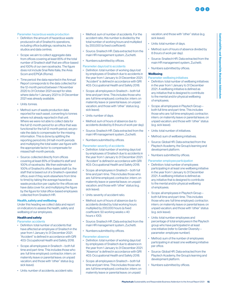#### Parameter: hazardous waste production

- Definition: the amount of hazardous waste produced in all of Snaitech's operations, including office buildings, racetracks, live studios and data centres.
- Scope: we aim to collect aggregate data from offices covering at least 85% of the total number of Snaitech staff that are office-based and 100% of our own racetracks. The figure does not include Snai Rete Italia, the Area Scom and EPIQA (Rome).
- Time period: the data reported in the Annual Report corresponds to the data collected for the 12-month period between 1 November 2020 to 31 October 2021 except for sites where data for 1 January 2021 to 31 December 2021 was already available.
- Unite-tonnes
- Method: sum of waste production data reported for each asset, converting to tonnes where not already reported in that unit. Where we were not able to collect data for the full 12-month period for an office that was functional for the full 12-month period, we prorate the data to compensate for the missing information. This is done by splitting the reporting period into 24 half-month periods and multiplying the total water use figure with the appropriate factor to compensate for missed half-month periods.
- Source: collected directly from offices covering at least 85% of Snaitech's staff and 100% of racetracks. We then estimate for 100% of Snaitech's office-based staff (i.e. the staff that is based out of a Snaitech-operated office, even if they work elsewhere from time to time) by taking the average hazardous waste production per capita for the offices we have data cover for, and multiplying the figure by the figure for total office-based employees collected from Snaitech HR.

#### Health, safety and wellbeing

Under this heading we collect data and report on indicators to assess the health, safety and wellbeing of our employees.

#### Health and safety

#### Parameter: accidents

- Definition: total number of accidents that have affected an employee of Snaitech in the year from 1 January to 31 December 2021. "Accident" is defined in accordance with GRI 403: Occupational Health and Safety 2018.
- Scope: all employees in Snaitech both full time and part-time. This includes those who are: full time employed; contractor; intern; on maternity leave or parental leave; on unpaid vacation; and those with "other" status (e.g. sick leave).
- Units: number of accidents; accident ratio.
- Method: sum of number of accidents. For the accident ratio, this number is divided by the total number of working hours and multiplied by 200,000 (a fixed coefficient).
- Source: Snaitech HR. Data extracted from the main HR management system, Zuchetti.
- Numbers submitted by offices.

#### Parameter: days lost to accidents

- Definition: total number of working days lost by employees of Snaitech due to accidents in the year from 1 January to 31 December 2021. "Accident" is defined in accordance with GRI 403: Occupational Health and Safety 2018.
- Scope: all employees in Snaitech both full time and part-time. This includes those who are: full time employed; contractor; intern; on maternity leave or parental leave; on unpaid vacation; and those with "other" status (e.g. sick leave).
- Units: number of days.
- Method: sum of hours of absence due to accidents divided by 8 (hours of work per day).
- Source: Snaitech HR. Data extracted from the main HR management system, Zuchetti.
- Numbers submitted by offices.

#### Parameter: severity of accidents

- Definition: total number of working days lost by employees of Snaitech due to accidents in the year from 1 January to 31 December 2021. "Accident" is defined in accordance with GRI 403: Occupational Health and Safety 2018.
- Scope: all employees in Snaitech both full time and part-time. This includes those who are: full time employed; contractor; intern; on maternity leave or parental leave; on unpaid vacation; and those with "other" status (e.g. sick leave).
- Units: severity of accident ratio.
- Method: sum of hours of absence due to accidents divided by total working hours multiplied by 200,000 hours (a fixed coefficient: 50 working weeks x 40 hours x 100).
- Source: Snaitech HR. Data extracted from the main HR management system, Zuchetti.
- Numbers submitted by offices.

#### Parameter: absence

- Definition: total number of working days lost by employees of Snaitech due to absence in the year from 1 January to 31 December 2021. "Absence" is defined in accordance with GRI 403: Occupational Health and Safety 2018.
- Scope: all employees in Snaitech both full time and part-time. This includes those who are: full time employed; contractor; intern; on maternity leave or parental leave; on unpaid

vacation; and those with "other" status (e.g. sick leave).

- Units: total number of days.
- Method: sum of hours of absence divided by 8 (hours of work per day).
- Source: Snaitech HR. Data extracted from the main HR management system, Zuchetti.
- Numbers submitted by offices.

#### **Wellbeing**

- Parameter: wellbeing initiatives
- Definition: total number of wellbeing initiatives in the year from 1 January to 31 December 2021. A wellbeing initiative is defined as any initiative that is designed to contribute to the mental and/or physical wellbeing of employees.
- Scope: all employees in Playtech Group both full time and part-time. This includes those who are: full time employed; contractor; intern; on maternity leave or parental leave; on unpaid vacation; and those with "other" status (e.g. sick leave).
- Units: total number of initiatives.
- Method: sum of wellbeing initiatives.
- Source: Global HR. Data extracted from the Playtech Academy, the Group's learning and development platform.
- Numbers submitted by offices.

#### Parameter: employee participation

- Definition: total number of employees participating in at least one wellbeing initiative in the year from 1 January to 31 December 2021. A wellbeing initiative is defined as any initiative that is designed to contribute to the mental and/or physical wellbeing of employees.
- Scope: all employees in Playtech Group both full time and part-time. This includes those who are: full time employed; contractor; intern; on maternity leave or parental leave; on unpaid vacation; and those with "other" status (e.g. sick leave).
- Units: total number employees and percentage of total employees in the Playtech group who have participated in at least one initiative (refer to Gender Diversity – parameter: employee number).
- Method: sum of the number of employees participating in at least one wellbeing initiative per office.
- Source: Global HR. Data extracted from the Playtech Academy, the Group's learning and development platform.
- Numbers submitted by offices.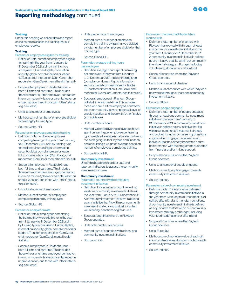## Reporting methodology continued



#### Training

Under this heading we collect data and report on indicators to assess the training that our employees receive.

#### **Training**

Parameter: employees eligible for training

- Definition: total number of employees eligible for training in the year from 1 January to 31 December 2021, split by training type (compliance, Human Rights, information security, global compliance senior leader (ILT), customer interaction (GamCare), chat moderator (GamCare), mental health first aid).
- Scope: all employees in Playtech Group both full time and part-time. This includes those who are: full time employed; contractor; intern; on maternity leave or parental leave; on unpaid vacation; and those with "other" status (e.g. sick leave).
- Units: total number of employees.
- Method: sum of number of employees eligible for training by training type.
- Source: Global HR.
- Parameter: employees completing training
- Definition: total number of employees completing training in the year from 1 January to 31 December 2021, split by training type (compliance, Human Rights, information security, global compliance senior leader ILT, customer interaction (GamCare), chat moderator (GamCare), mental health first aid).
- Scope: all employees in Playtech Group both full time and part-time. This includes those who are: full time employed; contractor; intern; on maternity leave or parental leave; on unpaid vacation; and those with "other" status (e.g. sick leave).
- Units: total number of employees.
- Method: sum of number of employees completing training by training type.
- Source: Global HR.

Parameter: completion rate

- Definition: rate of employees completing the training they were eligible for in the year from 1 January to 31 December 2021, split by training type (compliance, Human Rights, information security, global compliance senior leader ILT, customer interaction (GamCare), chat moderator (GamCare), mental health first aid).
- Scope: all employees in Playtech Group both full time and part-time. This includes those who are: full time employed; contractor; intern; on maternity leave or parental leave; on unpaid vacation; and those with "other" status (e.g. sick leave).
- Units: percentage of employees.
- Method: sum of number of employees completing training by training type divided by total number of employees eligible for that training type.
- Source: Global HR.

#### Parameter: average training hours per employee

- Definition: average hours spent on training per employee in the year from 1 January to 31 December 2021, split by training type (compliance, Human Rights, information security, global compliance senior leader ILT, customer interaction (GamCare), chat moderator (GamCare), mental health first aid).
- Scope: all employees in Playtech Group both full time and part-time. This includes those who are: full time employed; contractor; intern; on maternity leave or parental leave; on unpaid vacation; and those with "other" status (e.g. sick leave).
- Units: number of hours.
- Method: weighted average of average hours spent on training per employee per training type. Weighted average is calculated by taking the average figure for Playtech and Snaitech, and calculating a weighted average based on number of employees completing training.
- Source: Global HR.

#### Community investment

Under this heading we collect data and report on indicators to assess the community investment we make.

#### Community investment

Parameter: countries with community investment initiatives

- Definition: total number of countries with at least one community investment initiative in the year from 1 January to 31 December 2021. A community investment initiative is defined as any initiative that fits within our community investment strategy and budget, including volunteering, donations or gifts in kind.
- Scope: all countries where the Playtech Group operates.
- Units: total number of countries.
- Method: sum of countries with at least one community investment initiatives.
- Source: offices.

#### Parameter: charities that Playtech has worked with

- Definition: total number of charities with Playtech has worked with through at least one community investment initiative in the year from 1 January to 31 December 2021. A community investment initiative is defined as any initiative that fits within our community investment strategy and budget, including volunteering, donations or gifts in kind.
- Scope: all countries where the Playtech Group operates.
- Units: total number of charities.
- Method: sum of charities with which Playtech has worked through at least one community investment initiative.

#### • Source: offices.

- Parameter: people engaged
- Definition: total number of people engaged through at least one community investment initiative in the year from 1 January to 31 December 2021. A community investment initiative is defined as any initiative that fits within our community investment strategy and budget, including volunteering, donations or gifts in kind. Engaged is defined as an individual that has directly benefitted and/or has interacted with the programme supported from financial and/or in-kind support.
- Scope: all countries where the Playtech Group operates.
- Units: total number of people engaged.
- Method: sum of people engaged by each community investment initiative.
- Source: offices.

#### Parameter: value of community investment

- Definition: total monetary value delivered through community investment initiatives in the year from 1 January to 31 December 2021; split by gifts in kind and monetary donations. A community investment initiative is defined as any initiative that fits within our community investment strategy and budget, including volunteering, donations or gifts in kind.
- Scope: all countries where the Playtech Group operates.
- Units: Euros (€).
- Method: sum of monetary value of each gift in kind and monetary donation made by each community investment initiative.
- Source: offices.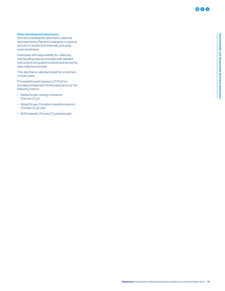#### Data checking and assurance

All of the sustainability data that is collected and reported by Playtech undergoes a rigorous amount of checks both internally and using external advisers.

Individuals with responsibility for collecting and handling data are provided with detailed instructions and guidance before and during the data collection process.

The data that is collected is kept for a minimum of three years.

PricewaterhouseCoopers LLP (PwC) is providing independent limited assurance for the following metrics:

- Global Scope 1 energy emissions (Tonnes CO $_2$ e);
- Global Scope 2 (location-based) emissions (Tonnes CO $_{2}$ e); and
- GHG intensity (Tonnes CO<sub>2</sub>e/employee).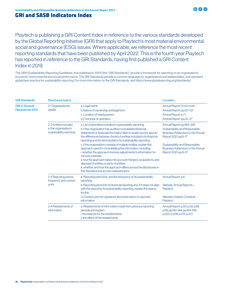### <span id="page-19-0"></span>GRI and SASB Indicators Index

Playtech is publishing a GRI Content Index in reference to the various standards developed by the Global Reporting Initiative (GRI) that apply to Playtech's most material environmental, social and governance (ESG) issues. Where applicable, we reference the most recent reporting standards that have been published by April 2022. This is the fourth year Playtech has reported in reference to the GRI Standards, having first published a GRI Content Index in 2019.

The GRI's Sustainability Reporting Guidelines, first published in 2000 (the "GRI Standards"), provide a framework for reporting on an organisation's economic, environmental and social performance. The GRI Standards provide a common language for organisations and stakeholders, and represent global best practice for sustainability reporting. For more information on the GRI Standards, visit https://www.globalreporting.org/standards/.

| <b>GRI Standards</b>                             | <b>Disclosure topics</b>                                                   |                                                                                                                                                                                                                                                                                                                                                                                                                                                                    | <b>Location</b>                                                                                                        |
|--------------------------------------------------|----------------------------------------------------------------------------|--------------------------------------------------------------------------------------------------------------------------------------------------------------------------------------------------------------------------------------------------------------------------------------------------------------------------------------------------------------------------------------------------------------------------------------------------------------------|------------------------------------------------------------------------------------------------------------------------|
| <b>GRI 2: General</b><br><b>Disclosures 2021</b> | 2-1 Organisational<br>details                                              | a. Legal name.<br>b. Nature of ownership and legal form.<br>c. Location of headquarters.<br>d. Countries of operation.                                                                                                                                                                                                                                                                                                                                             | Annual Report: Front cover<br>Annual Report: pp.127-131<br>Annual Report: p.71<br>Annual Report: pp.25-27              |
|                                                  | 2-2 Entities included<br>in the organisation's<br>sustainability reporting | a. List of all entities included in sustainability reporting.<br>b. If the organisation has audited consolidated financial.<br>statements or financial information filed on public record, specify<br>the differences between the list of entities included in its financial<br>reporting and the list included in its sustainability reporting.                                                                                                                   | Annual Report: pp.184-226<br>Sustainability and Responsible<br>Business Addendum to the Annual<br>Report 2021: pp.9-17 |
|                                                  |                                                                            | c. If the organisation consists of multiple entities, explain the<br>approach used for consolidating the information, including:<br>i. whether the approach involves adjustments to information for<br>minority interests;<br>ii. how the approach takes into account mergers, acquisitions, and<br>disposal of entities or parts of entities;<br>iii. whether and how the approach differs across the disclosures in<br>this Standard and across material topics. | Sustainability and Responsible<br><b>Business Addendum to the Annual</b><br>Report 2021: pp.9-17                       |
|                                                  | 2-3 Reporting period,<br>frequency and contact                             | a. Reporting period for, and the frequency of, its sustainability<br>reporting.                                                                                                                                                                                                                                                                                                                                                                                    | Annual Report: p.6                                                                                                     |
|                                                  | point                                                                      | b. Reporting period for its financial reporting and, if it does not align<br>with the period for its sustainability reporting, explain the reason<br>for this.                                                                                                                                                                                                                                                                                                     | Website: Annual Reports-<br>Playtech                                                                                   |
|                                                  |                                                                            | d. Contact point for questions about the report or reported<br>information.                                                                                                                                                                                                                                                                                                                                                                                        | Website: Investor Contacts-<br>Playtech                                                                                |
|                                                  | 2-4 Restatements of<br>information                                         | a. Restatements of information made from previous reporting<br>periods and explain:<br>i. the reasons for the restatements:<br>ii, the effect of the restatements.                                                                                                                                                                                                                                                                                                 | Annual Report: p.50; p.52; p.66;<br>p.116; pp.142-144; pp.184-185;<br>p.200; p.208; p.213; p.227                       |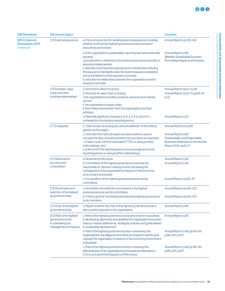| <b>GRI Standards</b><br><b>GRI 2: General</b><br><b>Disclosures 2021</b><br>continued | <b>Disclosure topics</b>                                                                  | <b>Location</b>                                                                                                                                                                                                                                                                                                                                                                                                                                                       |                                                                                                                                                      |
|---------------------------------------------------------------------------------------|-------------------------------------------------------------------------------------------|-----------------------------------------------------------------------------------------------------------------------------------------------------------------------------------------------------------------------------------------------------------------------------------------------------------------------------------------------------------------------------------------------------------------------------------------------------------------------|------------------------------------------------------------------------------------------------------------------------------------------------------|
|                                                                                       | 2-5 External assurance                                                                    | a. Policy and practice for seeking external assurance, including<br>whether and how the highest governance body and senior<br>executives are involved.                                                                                                                                                                                                                                                                                                                | Annual Report: pp.133-140                                                                                                                            |
|                                                                                       |                                                                                           | b. If the organisation's sustainability reporting has been externally<br>assured:<br>i. provide a link or reference to the external assurance report(s) or<br>assurance statement(s);<br>ii. describe what has been assured and on what basis, including<br>the assurance standards used, the level of assurance obtained,<br>and any limitations of the assurance process;<br>iii. describe the relationship between the organisation and the<br>assurance provider. | Annual Report: p.66<br>Website: Sustainable Success-<br>Promoting Integrity and Inclusion                                                            |
|                                                                                       | 2-6 Activities, value<br>chain and other<br>business relationships                        | a. Sector(s) in which it is active.<br>b. Describe its value chain, including:<br>i. the organisation's activities, products, services and markets<br>served:<br>ii. the organisation's supply chain;<br>iii. the entities downstream from the organisation and their<br>activities.                                                                                                                                                                                  | Annual Report: pp.4-5; p.16<br>Annual Report: pp.10-11; pp.18-19;<br>p.22                                                                            |
|                                                                                       |                                                                                           | d. Describe significant changes in 2-6-a, 2-6-b, and 2-6-c<br>compared to the previous reporting period.                                                                                                                                                                                                                                                                                                                                                              | Annual Report: p.22                                                                                                                                  |
|                                                                                       | 2-7 Employees                                                                             | a. Total number of employees, and a breakdown of this total by<br>gender and by region.<br>c. Describe the methodologies and assumptions used to<br>compile the data, including whether the numbers are reported:<br>i. in head count, full time equivalent (FTE), or using another<br>methodology; and<br>ii. at the end of the reporting period, as an average across the<br>reporting period, or using another methodology.                                        | Annual Report: p.4; p.69<br>Annual Report: p.69<br>Sustainability and Responsible<br><b>Business Addendum to the Annual</b><br>Report 2021: pp.10-11 |
|                                                                                       | 2-9 Governance<br>structure and<br>composition                                            | a. Governance Structure<br>b. Committees of the highest governance body that are<br>responsible for decision making on and overseeing the<br>management of the organisation's impacts on the economy,<br>environment and people.<br>c. Composition of the highest governance body and its<br>committees.                                                                                                                                                              | Annual Report: p.46<br>Annual Report: p.46<br>Annual Report: pp.96-97                                                                                |
|                                                                                       | 2-10 Nomination and<br>selection of the highest<br>governance body                        | a. Nomination and selection processes for the highest<br>governance body and its committees.<br>b. Criteria used for nominating and selecting highest governance<br>body members.                                                                                                                                                                                                                                                                                     | Annual Report: pp.102-103<br>Annual Report: pp.102-103                                                                                               |
|                                                                                       | 2-11 Chair of the highest<br>governance body                                              | a. Report whether the chair of the highest governance body is<br>also a senior executive in the organisation.                                                                                                                                                                                                                                                                                                                                                         | Annual Report: p.96                                                                                                                                  |
|                                                                                       | 2-12 Role of the highest<br>governance body<br>in overseeing the<br>management of impacts | a. Role of the highest governance body and of senior executives<br>in developing, approving and updating the organisation's purpose,<br>value or mission statements, strategies, policies, and goals related<br>to sustainable development.<br>b. Role of the highest governance body in overseeing the<br>organisation's due diligence and other processes to identify and<br>manage the organisation's impacts on the economy, environment<br>and people.           | Annual Report: p.46<br>Annual Report: p.46; pp.58-59;<br>p.98; p.101; p.103                                                                          |
|                                                                                       |                                                                                           | c. Role of the highest governance body in reviewing the<br>effectiveness of the organisation's processes as described in<br>2-12-b, and report the frequency of this review.                                                                                                                                                                                                                                                                                          | Annual Report: p.46; pp.58-59;<br>p.98; p.101; p.103                                                                                                 |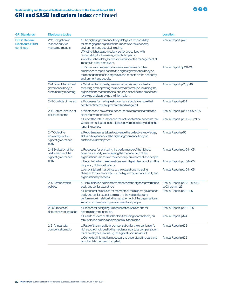| <b>GRI Standards</b>                                          | <b>Disclosure topics</b>                                                   | <b>Location</b>                                                                                                                                                                                                                                                                                                                                                                                                                                                                                                                                                                             |                                                                                  |  |
|---------------------------------------------------------------|----------------------------------------------------------------------------|---------------------------------------------------------------------------------------------------------------------------------------------------------------------------------------------------------------------------------------------------------------------------------------------------------------------------------------------------------------------------------------------------------------------------------------------------------------------------------------------------------------------------------------------------------------------------------------------|----------------------------------------------------------------------------------|--|
| <b>GRI 2: General</b><br><b>Disclosures 2021</b><br>continued | 2-13 Delegation of<br>responsibility for<br>managing impacts               | a. The highest governance body delegates responsibility<br>for managing the organisation's impacts on the economy,<br>environment and people, including.<br>i. Whether it has appointed any senior executives with<br>responsibility for the management of impacts;<br>ii. whether it has delegated responsibility for the management of<br>impacts to other employees.<br>b. Process and frequency for senior executives or other<br>employees to report back to the highest governance body on<br>the management of the organisation's impacts on the economy,<br>environment and people. | Annual Report: p.46<br>Annual Report pp.101-103                                  |  |
|                                                               | 2-14 Role of the highest<br>governance body in<br>sustainability reporting | a. Whether the highest governance body is responsible for<br>reviewing and approving the reported information, including the<br>organisation's material topics, and, if so, describe the process for<br>reviewing and approving the information.                                                                                                                                                                                                                                                                                                                                            | Annual Report: p.28; p.46                                                        |  |
|                                                               | 2-15 Conflicts of interest                                                 | a. Processes for the highest governance body to ensure that<br>conflicts of interest are prevented and mitigated.                                                                                                                                                                                                                                                                                                                                                                                                                                                                           | Annual Report: p.124                                                             |  |
|                                                               | 2-16 Communication of<br>critical concerns                                 | a. Whether and how critical concerns are communicated to the<br>highest governance body.<br>b. Report the total number and the nature of critical concerns that<br>were communicated to the highest governance body during the<br>reporting period.                                                                                                                                                                                                                                                                                                                                         | Annual Report: p.20; p.105; p.125<br>Annual Report: pp.56-57; p.105              |  |
|                                                               | 2-17 Collective<br>knowledge of the<br>highest governance<br>body          | a. Report measures taken to advance the collective knowledge,<br>skills and experience of the highest governance body on<br>sustainable development.                                                                                                                                                                                                                                                                                                                                                                                                                                        | Annual Report: p.56                                                              |  |
|                                                               | 2-18 Evaluation of the<br>performance of the<br>highest governance<br>body | a. Processes for evaluating the performance of the highest<br>governance body in overseeing the management of the<br>organisation's impacts on the economy, environment and people.<br>b. Report whether the evaluations are independent or not, and the<br>frequency of the evaluations.                                                                                                                                                                                                                                                                                                   | Annual Report: pp.104-105<br>Annual Report: pp.104-105                           |  |
|                                                               |                                                                            | c. Actions taken in response to the evaluations, including<br>changes to the composition of the highest governance body and<br>organisational practices.                                                                                                                                                                                                                                                                                                                                                                                                                                    | Annual Report: pp.104-105                                                        |  |
|                                                               | 2-19 Remuneration<br>policies                                              | a. Remuneration policies for members of the highest governance<br>body and senior executives.<br>b. Remuneration policies for members of the highest governance<br>body and senior executives relate to their objectives and<br>performance in relation to the management of the organisation's<br>impacts on the economy, environment and people.                                                                                                                                                                                                                                          | Annual Report: pp.98-99; p.101;<br>p.103; pp.110-126<br>Annual Report: pp.10-125 |  |
|                                                               | 2-20 Process to<br>determine remuneration                                  | a. Process for designing its remuneration policies and for<br>determining remuneration.<br>b. Results of votes of stakeholders (including shareholders) on<br>remuneration policies and proposals, if applicable.                                                                                                                                                                                                                                                                                                                                                                           | Annual Report: pp.110-125<br>Annual Report: p.124                                |  |
|                                                               | 2-21 Annual total<br>compensation ratio                                    | a. Ratio of the annual total compensation for the organisation's<br>highest-paid individual to the median annual total compensation<br>for all employees (excluding the highest-paid individual).<br>c. Contextual information necessary to understand the data and                                                                                                                                                                                                                                                                                                                         | Annual Report: p.122<br>Annual Report: p.122                                     |  |
|                                                               |                                                                            | how the data has been compiled.                                                                                                                                                                                                                                                                                                                                                                                                                                                                                                                                                             |                                                                                  |  |

**BOO**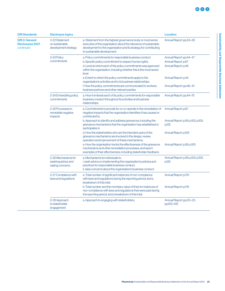Sustainability and Responsible Business Addendum

Sustainability and Responsible Business Addendum

| <b>GRI Standards</b>                                          | <b>Disclosure topics</b>                                      |                                                                                                                                                                                                                                      | <b>Location</b>                             |
|---------------------------------------------------------------|---------------------------------------------------------------|--------------------------------------------------------------------------------------------------------------------------------------------------------------------------------------------------------------------------------------|---------------------------------------------|
| <b>GRI 2: General</b><br><b>Disclosures 2021</b><br>continued | 2-22 Statement<br>on sustainable<br>development strategy      | a. Statement from the highest governance body or most senior<br>executive of the organisation about the relevance of sustainable<br>development to the organisation and its strategy for contributing<br>to sustainable development. | Annual Report: pp.24-28                     |
|                                                               | 2-23 Policy                                                   | a. Policy commitments for responsible business conduct.                                                                                                                                                                              | Annual Report: pp.44-47                     |
|                                                               | commitments                                                   | b. Specific policy commitment to respect human rights.                                                                                                                                                                               | Annual Report: p.67                         |
|                                                               |                                                               | d. Level at which each of the policy commitments was approved<br>within the organisation, including whether this is the most senior<br>level.                                                                                        | Annual Report: p.46                         |
|                                                               |                                                               | e. Extent to which the policy commitments apply to the<br>organisation's activities and to its business relationships.                                                                                                               | Annual Report: p.44                         |
|                                                               |                                                               | f. How the policy commitments are communicated to workers,<br>business partners and other relevant parties.                                                                                                                          | Annual Report: pp.46-47                     |
|                                                               | 2-24 Embedding policy<br>commitments                          | a. How it embeds each of its policy commitments for responsible<br>business conduct throughout its activities and business<br>relationships.                                                                                         | Annual Report: pp.44-75                     |
|                                                               | 2-25 Processes to<br>remediate negative<br><i>impacts</i>     | a. Commitments to provide for or co-operate in the remediation of<br>negative impacts that the organisation identifies it has caused or<br>contributed to.                                                                           | Annual Report: p.67                         |
|                                                               |                                                               | b. Approach to identify and address grievances, including the<br>grievance mechanisms that the organisation has established or<br>participates in.                                                                                   | Annual Report: p.56; p.102; p.105;<br>p.125 |
|                                                               |                                                               | d. How the stakeholders who are the intended users of the<br>grievance mechanisms are involved in the design, review,<br>operation and improvement of these mechanisms.                                                              | Annual Report: p.105                        |
|                                                               |                                                               | e. How the organisation tracks the effectiveness of the grievance<br>mechanisms and other remediation processes, and report<br>examples of their effectiveness, including stakeholder feedback.                                      | Annual Report: p.56; p.105                  |
|                                                               | 2-26 Mechanisms for<br>seeking advice and<br>raising concerns | a. Mechanisms for individuals to:<br>i. seek advice on implementing the organisation's policies and<br>practices for responsible business conduct;<br>ii. raise concerns about the organisation's business conduct.                  | Annual Report: p.56; p.102; p.105;<br>p.125 |
|                                                               | 2-27 Compliance with<br>laws and regulations                  | a. Total number of significant instances of non-compliance<br>with laws and regulations during the reporting period, and a<br>breakdown of this total.                                                                               | Annual Report: p.176                        |
|                                                               |                                                               | b. Total number and the monetary value of fines for instances of<br>non-compliance with laws and regulations that were paid during<br>the reporting period, and a breakdown of this total.                                           | Annual Report: p.176                        |
|                                                               | 2-29 Approach<br>to stakeholder<br>engagement                 | a. Approach to engaging with stakeholders.                                                                                                                                                                                           | Annual Report: pp.20-23;<br>pp.103-105      |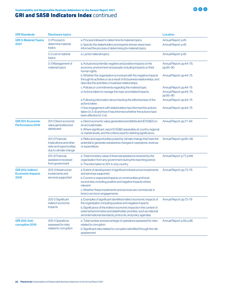| <b>GRI Standards</b>                                        | <b>Disclosure topics</b>                                                                      |                                                                                                                                                                                                                                                                                                                                           | <b>Location</b>                            |
|-------------------------------------------------------------|-----------------------------------------------------------------------------------------------|-------------------------------------------------------------------------------------------------------------------------------------------------------------------------------------------------------------------------------------------------------------------------------------------------------------------------------------------|--------------------------------------------|
| <b>GRI 3: Material Topics</b><br>2021                       | 3-1 Process to<br>determine material                                                          | a. Process followed to determine its material topics.<br>b. Specify the stakeholders and experts whose views have                                                                                                                                                                                                                         | Annual Report: p.45<br>Annual Report: p.45 |
|                                                             | topics                                                                                        | informed the process of determining its material topics.                                                                                                                                                                                                                                                                                  |                                            |
|                                                             | 3-2 List of material<br>topics                                                                | Annual Report: p.45                                                                                                                                                                                                                                                                                                                       |                                            |
|                                                             | 3-3 Management of<br>material topics                                                          | a. Actual and potential, negative and positive impacts on the<br>economy, environment and people, including impacts on their<br>human rights.                                                                                                                                                                                             | Annual Report: pp.44-75;<br>pp.85-90       |
|                                                             |                                                                                               | b. Whether the organisation is involved with the negative impacts<br>through its activities or as a result of its business relationships, and<br>describe the activities or business relationships.                                                                                                                                       | Annual Report: pp.44-75                    |
|                                                             |                                                                                               | c. Policies or commitments regarding the material topic.                                                                                                                                                                                                                                                                                  | Annual Report: pp.44-75                    |
|                                                             |                                                                                               | d. Actions taken to manage the topic and related impacts.                                                                                                                                                                                                                                                                                 | Annual Report: pp.44-75;<br>pp.85-90       |
|                                                             |                                                                                               | e. Following information about tracking the effectiveness of the<br>actions taken.                                                                                                                                                                                                                                                        | Annual Report: pp.44-75                    |
|                                                             |                                                                                               | f. How engagement with stakeholders has informed the actions<br>taken (3-3-d) and how it has informed whether the actions have<br>been effective (3-3-e).                                                                                                                                                                                 | Annual Report: pp.44-75                    |
| <b>GRI 201: Economic</b><br>Performance 2016                | 201-1 Direct economic<br>value generated and<br>distributed                                   | a. Direct economic value generated and distributed (EVG&D) on<br>an accruals basis.<br>b. Where significant, report EVG&D separately at country, regional<br>or market levels, and the criteria used for defining significance.                                                                                                           | Annual Report: pp.77-84                    |
|                                                             | 201-2 Financial<br>implications and other<br>risks and opportunities<br>due to climate change | a. Risks and opportunities posed by climate change that have the<br>potential to generate substantive changes in operations, revenue<br>or expenditure.                                                                                                                                                                                   | Annual Report: pp.60-66                    |
|                                                             | 201-4 Financial<br>assistance received<br>from government                                     | a. Total monetary value of financial assistance received by the<br>organisation from any government during the reporting period.<br>b. The information in 201-4-a by country.                                                                                                                                                             | Annual Report: p.77; p.146                 |
| <b>GRI 203: Indirect</b><br><b>Economic Impacts</b><br>2016 | 203-1 Infrastructure<br>investments and<br>services supported                                 | a. Extent of development of significant infrastructure investments<br>and services supported.<br>b. Current or expected impacts on communities and local<br>economies, including positive and negative impacts where<br>relevant.<br>c. Whether these investments and services are commercial, in<br>kind or pro bono engagements.        | Annual Report: pp.73-76                    |
|                                                             | 203-2 Significant<br>indirect economic<br>impacts                                             | a. Examples of significant identified indirect economic impacts of<br>the organisation, including positive and negative impacts.<br>b. Significance of the indirect economic impacts in the context of<br>external benchmarks and stakeholder priorities, such as national<br>and international standards, protocols, and policy agendas. | Annual Report: pp.73-76                    |
| <b>GRI 205: Anti-</b><br>corruption 2016                    | 205-1 Operations<br>assessed for risks<br>related to corruption                               | a. Total number and percentage of operations assessed for risks<br>related to corruption.<br>b. Significant risks related to corruption identified through the risk<br>assessment.                                                                                                                                                        | Annual Report: p.56; p.86                  |

**BOO**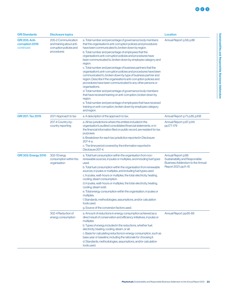| <b>GRI Standards</b>                                  | <b>Disclosure topics</b>                                                                 |                                                                                                                                                                                                                                                                                                                                                                                                                                                                                                                                                                                                                                                                                                                                                                                                                                                                                                                                                                                                                                         | <b>Location</b>                                                                                                          |  |
|-------------------------------------------------------|------------------------------------------------------------------------------------------|-----------------------------------------------------------------------------------------------------------------------------------------------------------------------------------------------------------------------------------------------------------------------------------------------------------------------------------------------------------------------------------------------------------------------------------------------------------------------------------------------------------------------------------------------------------------------------------------------------------------------------------------------------------------------------------------------------------------------------------------------------------------------------------------------------------------------------------------------------------------------------------------------------------------------------------------------------------------------------------------------------------------------------------------|--------------------------------------------------------------------------------------------------------------------------|--|
| <b>GRI 205: Anti-</b><br>corruption 2016<br>continued | 205-2 Communication<br>and training about anti-<br>corruption policies and<br>procedures | a. Total number and percentage of governance body members<br>that the organisation's anti-corruption policies and procedures<br>have been communicated to, broken down by region.<br>b. Total number and percentage of employees that the<br>organisation's anti-corruption policies and procedures have<br>been communicated to, broken down by employee category and<br>region.<br>c. Total number and percentage of business partners that the<br>organisation's anti-corruption policies and procedures have been<br>communicated to, broken down by type of business partner and<br>region. Describe if the organisation's anti-corruption policies and<br>procedures have been communicated to any other persons or<br>organisations.<br>d. Total number and percentage of governance body members<br>that have received training on anti-corruption, broken down by<br>region.<br>e. Total number and percentage of employees that have received<br>training on anti-corruption, broken down by employee category<br>and region. | Annual Report: p.56; p.86                                                                                                |  |
| <b>GRI 207: Tax 2019</b>                              | 207-1 Approach to tax                                                                    | a. A description of the approach to tax.                                                                                                                                                                                                                                                                                                                                                                                                                                                                                                                                                                                                                                                                                                                                                                                                                                                                                                                                                                                                | Annual Report: p.71; p.85; p.108                                                                                         |  |
|                                                       | 207-4 Country-by-<br>country reporting                                                   | a. All tax jurisdictions where the entities included in the<br>organisation's audited consolidated financial statements, or in<br>the financial information filed on public record, are resident for tax<br>purposes.<br>b. Breakdown for each tax jurisdiction reported in Disclosure<br>207-4-a.<br>c. The time period covered by the information reported in<br>Disclosure 207-4.                                                                                                                                                                                                                                                                                                                                                                                                                                                                                                                                                                                                                                                    | Annual Report: p.87; p.141;<br>pp.177-179                                                                                |  |
| <b>GRI 302: Energy 2016</b>                           | 302-1 Energy<br>consumption within the<br>organisation                                   | a. Total fuel consumption within the organisation from non-<br>renewable sources, in joules or multiples, and including fuel types<br>used.<br>b. Total fuel consumption within the organisation from renewable<br>sources, in joules or multiples, and including fuel types used.<br>c. In joules, watt-hours or multiples, the total: electricity, heating,<br>cooling, steam consumption.<br>d. In joules, watt-hours or multiples, the total: electricity, heating,<br>cooling, steam sold.<br>e. Total energy consumption within the organisation, in joules or<br>multiples.<br>f. Standards, methodologies, assumptions, and/or calculation<br>tools used.<br>g. Source of the conversion factors used.                                                                                                                                                                                                                                                                                                                          | Annual Report: p.66<br>Sustainability and Responsible<br><b>Business Addendum to the Annual</b><br>Report 2021: pp.11-15 |  |
|                                                       | 302-4 Reduction of<br>energy consumption                                                 | a. Amount of reductions in energy consumption achieved as a<br>direct result of conservation and efficiency initiatives, in joules or<br>multiples.<br>b. Types of energy included in the reductions, whether fuel,<br>electricity, heating, cooling, steam, or all.<br>c. Basis for calculating reductions in energy consumption, such as<br>base year or baseline, including the rationale for choosing it.<br>d. Standards, methodologies, assumptions, and/or calculation<br>tools used.                                                                                                                                                                                                                                                                                                                                                                                                                                                                                                                                            | Annual Report: pp.65-66                                                                                                  |  |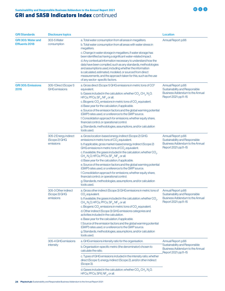

| <b>GRI Standards</b>                               | <b>Disclosure topics</b>                            |                                                                                                                                                                                                                                                                                                                                                                                                                                                                                                                                                                                                                                                                                                                                                                                          | <b>Location</b>                                                                                                          |
|----------------------------------------------------|-----------------------------------------------------|------------------------------------------------------------------------------------------------------------------------------------------------------------------------------------------------------------------------------------------------------------------------------------------------------------------------------------------------------------------------------------------------------------------------------------------------------------------------------------------------------------------------------------------------------------------------------------------------------------------------------------------------------------------------------------------------------------------------------------------------------------------------------------------|--------------------------------------------------------------------------------------------------------------------------|
| <b>GRI 303: Water and</b><br><b>Effluents 2018</b> | 303-5 Water<br>consumption                          | a. Total water consumption from all areas in megaliters.<br>b. Total water consumption from all areas with water stress in<br>megaliters.<br>c. Change in water storage in megaliters, if water storage has<br>been identified as having a significant water-related impact.<br>d. Any contextual information necessary to understand how the<br>data have been compiled, such as any standards, methodologies<br>and assumptions used, including whether the information<br>is calculated, estimated, modeled, or sourced from direct<br>measurements, and the approach taken for this, such as the use<br>of any sector-specific factors.                                                                                                                                              | Annual Report: p.66                                                                                                      |
| <b>GRI 305: Emissions</b><br>2016                  | 305-1 Direct (Scope 1)<br><b>GHG</b> emissions      | a. Gross direct (Scope 1) GHG emissions in metric tons of CO <sup>2</sup><br>equivalent.<br>b. Gases included in the calculation; whether $CO2$ , $CHa$ , N <sub>2</sub> O,<br>HFCs, PFCs, $SF_{6}$ , NF <sub>3</sub> , or all.<br>c. Biogenic $CO2$ emissions in metric tons of $CO2$ equivalent.<br>d. Base year for the calculation, if applicable.<br>e. Source of the emission factors and the global warming potential<br>(GWP) rates used, or a reference to the GWP source.<br>f. Consolidation approach for emissions; whether equity share,<br>financial control, or operational control.<br>g. Standards, methodologies, assumptions, and/or calculation<br>tools used.                                                                                                       | Annual Report: p.66<br>Sustainability and Responsible<br><b>Business Addendum to the Annual</b><br>Report 2021: pp.11-15 |
|                                                    | 305-2 Energy indirect<br>(Scope 2) GHG<br>emissions | a. Gross location-based energy indirect (Scope 2) GHG<br>emissions in metric tons of CO <sub>2</sub> equivalent.<br>b. If applicable, gross market-based energy indirect (Scope 2)<br>GHG emissions in metric tons of $CO2$ equivalent.<br>c. If available, the gases included in the calculation; whether $CO2$ ,<br>$CH_4$ , N <sub>2</sub> O, HFCs, PFCs, SF <sub>6</sub> , NF <sub>3</sub> , or all.<br>d. Base year for the calculation, if applicable.<br>e. Source of the emission factors and the global warming potential<br>(GWP) rates used, or a reference to the GWP source.<br>f. Consolidation approach for emissions; whether equity share,<br>financial control, or operational control.<br>g. Standards, methodologies, assumptions, and/or calculation<br>tools used. | Annual Report: p.66<br>Sustainability and Responsible<br><b>Business Addendum to the Annual</b><br>Report 2021: pp.11-15 |
|                                                    | 305-3 Other indirect<br>(Scope 3) GHG<br>emissions  | a. Gross other indirect (Scope 3) GHG emissions in metric tons of<br>CO <sub>2</sub> equivalent.<br>b. If available, the gases included in the calculation; whether CO <sub>2</sub> ,<br>$CH_a$ , N <sub>2</sub> O, HFCs, PFCs, SF <sub>6</sub> , NF <sub>3</sub> , or all.<br>c. Biogenic $CO2$ emissions in metric tons of $CO2$ equivalent.<br>d. Other indirect (Scope 3) GHG emissions categories and<br>activities included in the calculation.<br>e. Base year for the calculation, if applicable.<br>f. Source of the emission factors and the global warming potential<br>(GWP) rates used, or a reference to the GWP source.<br>g. Standards, methodologies, assumptions, and/or calculation<br>tools used.                                                                    | Annual Report: p.66<br>Sustainability and Responsible<br><b>Business Addendum to the Annual</b><br>Report 2021: pp.11-15 |
|                                                    | 305-4 GHG emissions<br>intensity                    | a. GHG emissions intensity ratio for the organisation.<br>b. Organisation-specific metric (the denominator) chosen to<br>calculate the ratio.<br>c. Types of GHG emissions included in the intensity ratio; whether<br>direct (Scope 1), energy indirect (Scope 2), and/or other indirect<br>(Scope 3).                                                                                                                                                                                                                                                                                                                                                                                                                                                                                  | Annual Report: p.66<br>Sustainability and Responsible<br><b>Business Addendum to the Annual</b><br>Report 2021: pp.11-15 |
|                                                    |                                                     | d. Gases included in the calculation; whether $CO_2$ , $CH_a$ , N <sub>2</sub> O,<br>HFCs, PFCs, SF6, $NF_{3}$ , or all.                                                                                                                                                                                                                                                                                                                                                                                                                                                                                                                                                                                                                                                                 |                                                                                                                          |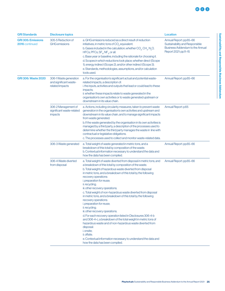| <b>GRI Standards</b>                        | <b>Disclosure topics</b>                                            |                                                                                                                                                                                                                                                                                                                                                                                                                                                                                                                                                                                                                                                                                                                                                                                                                                                                                                                                                                   | <b>Location</b>                                                                                                              |
|---------------------------------------------|---------------------------------------------------------------------|-------------------------------------------------------------------------------------------------------------------------------------------------------------------------------------------------------------------------------------------------------------------------------------------------------------------------------------------------------------------------------------------------------------------------------------------------------------------------------------------------------------------------------------------------------------------------------------------------------------------------------------------------------------------------------------------------------------------------------------------------------------------------------------------------------------------------------------------------------------------------------------------------------------------------------------------------------------------|------------------------------------------------------------------------------------------------------------------------------|
| <b>GRI 305: Emissions</b><br>2016 continued | 305-5 Reduction of<br><b>GHG</b> emissions                          | a. GHG emissions reduced as a direct result of reduction<br>initiatives, in metric tons of CO <sub>2</sub> equivalent.<br>b. Gases included in the calculation; whether $CO_{a}$ , $CH_{a}$ , N <sub>2</sub> O,<br>HFCs, PFCs, $SF_{6}$ , NF <sub>3</sub> , or all.<br>c. Base year or baseline, including the rationale for choosing it.<br>d. Scopes in which reductions took place; whether direct (Scope<br>1), energy indirect (Scope 2), and/or other indirect (Scope 3).<br>e. Standards, methodologies, assumptions, and/or calculation<br>tools used.                                                                                                                                                                                                                                                                                                                                                                                                    | Annual Report: pp.65-66<br>Sustainability and Responsible<br><b>Business Addendum to the Annual</b><br>Report 2021: pp.11-15 |
| <b>GRI 306: Waste 2020</b>                  | 306-1 Waste generation<br>and significant waste-<br>related impacts | a. For the organisation's significant actual and potential waste-<br>related impacts, a description of:<br>i. the inputs, activities and outputs that lead or could lead to these<br>impacts;<br>ii. whether these impacts relate to waste generated in the<br>organisation's own activities or to waste generated upstream or<br>downstream in its value chain.                                                                                                                                                                                                                                                                                                                                                                                                                                                                                                                                                                                                  | Annual Report: pp.65-66                                                                                                      |
|                                             | 306-2 Management of<br>significant waste-related<br>impacts         | a. Actions, including circularity measures, taken to prevent waste<br>generation in the organisation's own activities and upstream and<br>downstream in its value chain, and to manage significant impacts<br>from waste generated.<br>b. If the waste generated by the organisation in its own activities is<br>managed by a third party, a description of the processes used to<br>determine whether the third party manages the waste in line with<br>contractual or legislative obligations.<br>c. The processes used to collect and monitor waste-related data.                                                                                                                                                                                                                                                                                                                                                                                              | Annual Report: p.65                                                                                                          |
|                                             | 306-3 Waste generated                                               | a. Total weight of waste generated in metric tons, and a<br>breakdown of this total by composition of the waste.<br>b. Contextual information necessary to understand the data and<br>how the data has been compiled.                                                                                                                                                                                                                                                                                                                                                                                                                                                                                                                                                                                                                                                                                                                                             | Annual Report: pp.65-66                                                                                                      |
|                                             | 306-4 Waste diverted<br>from disposal                               | a. Total weight of waste diverted from disposal in metric tons, and<br>a breakdown of this total by composition of the waste.<br>b. Total weight of hazardous waste diverted from disposal<br>in metric tons, and a breakdown of this total by the following<br>recovery operations:<br>i. preparation for reuse;<br>ii. recycling;<br>iii. other recovery operations.<br>c. Total weight of non-hazardous waste diverted from disposal<br>in metric tons, and a breakdown of this total by the following<br>recovery operations:<br>i. preparation for reuse;<br>ii. recycling;<br>iii. other recovery operations.<br>d. For each recovery operation listed in Disclosures 306-4-b<br>and 306-4-c, a breakdown of the total weight in metric tons of<br>hazardous waste and of non-hazardous waste diverted from<br>disposal:<br>i. onsite;<br>ii. offsite.<br>e. Contextual information necessary to understand the data and<br>how the data has been compiled. | Annual Report: pp.65-66                                                                                                      |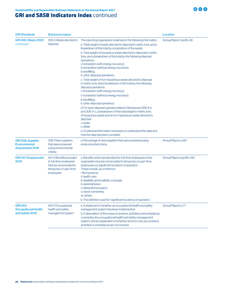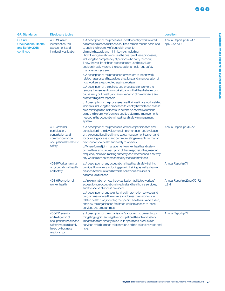| <b>GRI Standards</b>                                                          | <b>Disclosure topics</b>                                                                                                           |                                                                                                                                                                                                                                                                                                                                                                                                                                                                                                                                                                                                                                                                                                                                                                                                                                                   | <b>Location</b>                             |
|-------------------------------------------------------------------------------|------------------------------------------------------------------------------------------------------------------------------------|---------------------------------------------------------------------------------------------------------------------------------------------------------------------------------------------------------------------------------------------------------------------------------------------------------------------------------------------------------------------------------------------------------------------------------------------------------------------------------------------------------------------------------------------------------------------------------------------------------------------------------------------------------------------------------------------------------------------------------------------------------------------------------------------------------------------------------------------------|---------------------------------------------|
| <b>GRI 403:</b><br><b>Occupational Health</b><br>and Safety 2018<br>continued | 403-2 Hazard<br>identification, risk<br>assessment, and<br>incident investigation                                                  | a. A description of the processes used to identify work-related<br>hazards and assess risks on a routine and non-routine basis, and<br>to apply the hierarchy of controls in order to<br>eliminate hazards and minimise risks, including:<br>i. how the organisation ensures the quality of these processes,<br>including the competency of persons who carry them out;<br>ii. how the results of these processes are used to evaluate<br>and continually improve the occupational health and safety<br>management system.<br>b. A description of the processes for workers to report work-<br>related hazards and hazardous situations, and an explanation of<br>how workers are protected against reprisals.<br>c. A description of the policies and processes for workers to<br>remove themselves from work situations that they believe could | Annual Report: pp.46-47;<br>pp.56-57; p.102 |
|                                                                               |                                                                                                                                    | cause injury or ill health, and an explanation of how workers are<br>protected against reprisals.<br>d. A description of the processes used to investigate work-related<br>incidents, including the processes to identify hazards and assess<br>risks relating to the incidents, to determine corrective actions<br>using the hierarchy of controls, and to determine improvements<br>needed in the occupational health and safety management<br>system.                                                                                                                                                                                                                                                                                                                                                                                          |                                             |
|                                                                               | 403-4 Worker<br>participation,<br>consultation, and<br>communication on<br>occupational health and<br>safety                       | a. A description of the processes for worker participation and<br>consultation in the development, implementation and evaluation<br>of the occupational health and safety management system, and<br>for providing access to and communicating relevant information<br>on occupational health and safety to workers.<br>b. Where formal joint management-worker health and safety<br>committees exist, a description of their responsibilities, meeting<br>frequency, decision-making authority, and whether and, if so, why<br>any workers are not represented by these committees.                                                                                                                                                                                                                                                               | Annual Report: pp.70-72                     |
|                                                                               | 403-5 Worker training<br>on occupational health<br>and safety                                                                      | a. A description of any occupational health and safety training<br>provided to workers, including generic training as well as training<br>on specific work-related hazards, hazardous activities or<br>hazardous situations.                                                                                                                                                                                                                                                                                                                                                                                                                                                                                                                                                                                                                      | Annual Report: p.71                         |
|                                                                               | 403-6 Promotion of<br>worker health                                                                                                | a. An explanation of how the organisation facilitates workers'<br>access to non-occupational medical and healthcare services,<br>and the scope of access provided.<br>b. A description of any voluntary health promotion services and<br>programmes offered to workers to address major non-work-<br>related health risks, including the specific health risks addressed,<br>and how the organisation facilitates workers' access to these<br>services and programmes.                                                                                                                                                                                                                                                                                                                                                                            | Annual Report: p.25; pp.70-72;<br>p.214     |
|                                                                               | 403-7 Prevention<br>and mitigation of<br>occupational health and<br>safety impacts directly<br>linked by business<br>relationships | a. A description of the organisation's approach to preventing or<br>mitigating significant negative occupational health and safety<br>impacts that are directly linked to its operations, products or<br>services by its business relationships, and the related hazards and<br>risks.                                                                                                                                                                                                                                                                                                                                                                                                                                                                                                                                                            | Annual Report: p.71                         |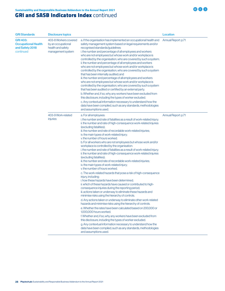| <b>GRI Standards</b>                                                          | <b>Disclosure topics</b>                                                              |                                                                                                                                                                                                                                                                                                                                                                                                                                                                                                                                                                                                                                                                                                                                                                                                                                                                                                                                                                                                                                                                                                                                                                                                                                                                                                                                                                                                                                                                                                                                                                                                                                                                                                              | <b>Location</b>     |
|-------------------------------------------------------------------------------|---------------------------------------------------------------------------------------|--------------------------------------------------------------------------------------------------------------------------------------------------------------------------------------------------------------------------------------------------------------------------------------------------------------------------------------------------------------------------------------------------------------------------------------------------------------------------------------------------------------------------------------------------------------------------------------------------------------------------------------------------------------------------------------------------------------------------------------------------------------------------------------------------------------------------------------------------------------------------------------------------------------------------------------------------------------------------------------------------------------------------------------------------------------------------------------------------------------------------------------------------------------------------------------------------------------------------------------------------------------------------------------------------------------------------------------------------------------------------------------------------------------------------------------------------------------------------------------------------------------------------------------------------------------------------------------------------------------------------------------------------------------------------------------------------------------|---------------------|
| <b>GRI 403:</b><br><b>Occupational Health</b><br>and Safety 2018<br>continued | 403-8 Workers covered<br>by an occupational<br>health and safety<br>management system | a. If the organisation has implemented an occupational health and<br>safety management system based on legal requirements and/or<br>recognised standards/guidelines:<br>i. the number and percentage of all employees and workers<br>who are not employees but whose work and/or workplace is<br>controlled by the organisation, who are covered by such a system;<br>ii. the number and percentage of all employees and workers<br>who are not employees but whose work and/or workplace is<br>controlled by the organisation, who are covered by such a system<br>that has been internally audited; and<br>iii. the number and percentage of all employees and workers<br>who are not employees but whose work and/or workplace is<br>controlled by the organisation, who are covered by such a system<br>that has been audited or certified by an external party.<br>b. Whether and, if so, why any workers have been excluded from<br>this disclosure, including the types of worker excluded.<br>c. Any contextual information necessary to understand how the<br>data have been compiled, such as any standards, methodologies<br>and assumptions used.                                                                                                                                                                                                                                                                                                                                                                                                                                                                                                                                                | Annual Report: p.71 |
|                                                                               | 403-9 Work-related<br>injuries                                                        | a. For all employees:<br>i. the number and rate of fatalities as a result of work-related injury;<br>ii. the number and rate of high-consequence work-related injuries<br>(excluding fatalities);<br>iii. the number and rate of recordable work-related injuries;<br>iv. the main types of work-related injury;<br>v. the number of hours worked.<br>b. For all workers who are not employees but whose work and/or<br>workplace is controlled by the organisation:<br>i. the number and rate of fatalities as a result of work-related injury;<br>ii. the number and rate of high-consequence work-related injuries<br>(excluding fatalities);<br>iii. the number and rate of recordable work-related injuries;<br>iv. the main types of work-related injury;<br>v. the number of hours worked.<br>c. The work-related hazards that pose a risk of high-consequence<br>injury, including:<br>i. how these hazards have been determined;<br>ii. which of these hazards have caused or contributed to high-<br>consequence injuries during the reporting period;<br>iii. actions taken or underway to eliminate these hazards and<br>minimise risks using the hierarchy of controls.<br>d. Any actions taken or underway to eliminate other work-related<br>hazards and minimise risks using the hierarchy of controls.<br>e. Whether the rates have been calculated based on 200,000 or<br>1,000,000 hours worked.<br>f. Whether and, if so, why any workers have been excluded from<br>this disclosure, including the types of worker excluded.<br>g. Any contextual information necessary to understand how the<br>data have been compiled, such as any standards, methodologies<br>and assumptions used. | Annual Report: p.71 |

**BOO**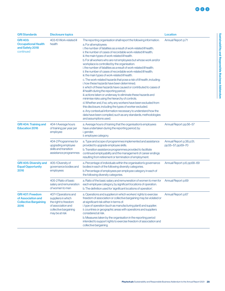| <b>GRI Standards</b>                                                                  | <b>Disclosure topics</b>                                                                                                            |                                                                                                                                                                                                                                                                                                                                                                                                                                                                                                                                                                                                                                                                                                                                                                                                                                                                                                                                                                 | <b>Location</b>                                  |
|---------------------------------------------------------------------------------------|-------------------------------------------------------------------------------------------------------------------------------------|-----------------------------------------------------------------------------------------------------------------------------------------------------------------------------------------------------------------------------------------------------------------------------------------------------------------------------------------------------------------------------------------------------------------------------------------------------------------------------------------------------------------------------------------------------------------------------------------------------------------------------------------------------------------------------------------------------------------------------------------------------------------------------------------------------------------------------------------------------------------------------------------------------------------------------------------------------------------|--------------------------------------------------|
| <b>GRI 403:</b><br><b>Occupational Health</b><br>and Safety 2018<br>continued         | 403-10 Work-related ill<br>health                                                                                                   | The reporting organisation shall report the following information:<br>a. For all employees:<br>i. the number of fatalities as a result of work-related ill health;<br>ii. the number of cases of recordable work-related ill health;<br>iii. the main types of work-related ill health.                                                                                                                                                                                                                                                                                                                                                                                                                                                                                                                                                                                                                                                                         | Annual Report: p.71                              |
|                                                                                       |                                                                                                                                     | b. For all workers who are not employees but whose work and/or<br>workplace is controlled by the organisation:<br>i. the number of fatalities as a result of work-related ill health;<br>ii. the number of cases of recordable work-related ill health;<br>iii. the main types of work-related ill health.<br>c. The work-related hazards that pose a risk of ill health, including:<br>i. how these hazards have been determined:<br>ii. which of these hazards have caused or contributed to cases of<br>ill health during the reporting period;<br>iii. actions taken or underway to eliminate these hazards and<br>minimise risks using the hierarchy of controls.<br>d. Whether and, if so, why any workers have been excluded from<br>this disclosure, including the types of worker excluded.<br>e. Any contextual information necessary to understand how the<br>data have been compiled, such as any standards, methodologies<br>and assumptions used. |                                                  |
| <b>GRI 404: Training and</b><br><b>Education 2016</b>                                 | 404-1 Average hours<br>of training per year per<br>employee                                                                         | a. Average hours of training that the organisation's employees<br>have undertaken during the reporting period, by:<br>i. gender:<br>ii. employee category.                                                                                                                                                                                                                                                                                                                                                                                                                                                                                                                                                                                                                                                                                                                                                                                                      | Annual Report: pp.56-57                          |
|                                                                                       | 404-2 Programmes for<br>upgrading employee<br>skills and transition<br>assistance programmes                                        | a. Type and scope of programmes implemented and assistance<br>provided to upgrade employee skills.<br>b. Transition assistance programmes provided to facilitate<br>continued employability and the management of career endings<br>resulting from retirement or termination of employment.                                                                                                                                                                                                                                                                                                                                                                                                                                                                                                                                                                                                                                                                     | Annual Report: p.38; p.51;<br>pp.55-57; pp.69-70 |
| <b>GRI 405: Diversity and</b><br><b>Equal Opportunity</b><br>2016                     | 405-1 Diversity of<br>governance bodies and<br>employees                                                                            | a. Percentage of individuals within the organisation's governance<br>bodies in each of the following diversity categories.<br>b. Percentage of employees per employee category in each of<br>the following diversity categories.                                                                                                                                                                                                                                                                                                                                                                                                                                                                                                                                                                                                                                                                                                                                | Annual Report: p.6; pp.68-69                     |
|                                                                                       | 405-2 Ratio of basic<br>salary and remuneration<br>of women to men                                                                  | a. Ratio of the basic salary and remuneration of women to men for<br>each employee category, by significant locations of operation.<br>b. The definition used for 'significant locations of operation'.                                                                                                                                                                                                                                                                                                                                                                                                                                                                                                                                                                                                                                                                                                                                                         | Annual Report: p.69                              |
| <b>GRI 407: Freedom</b><br>of Association and<br><b>Collective Bargaining</b><br>2016 | 407-1 Operations and<br>suppliers in which<br>the right to freedom<br>of association and<br>collective bargaining<br>may be at risk | a. Operations and suppliers in which workers' rights to exercise<br>freedom of association or collective bargaining may be violated or<br>at significant risk either in terms of:<br>i. type of operation (such as manufacturing plant) and supplier;<br>ii. countries or geographic areas with operations and suppliers<br>considered at risk.<br>b. Measures taken by the organisation in the reporting period<br>intended to support rights to exercise freedom of association and<br>collective bargaining.                                                                                                                                                                                                                                                                                                                                                                                                                                                 | Annual Report: p.67                              |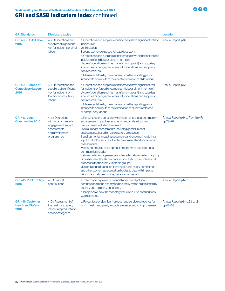| <b>GRI Standards</b>                                          | <b>Disclosure topics</b>                                                                                        |                                                                                                                                                                                                                                                                                                                                                                                                                                                                                                                                                                                                                                                                                                                                                                                                                                                                                    | <b>Location</b>                                   |
|---------------------------------------------------------------|-----------------------------------------------------------------------------------------------------------------|------------------------------------------------------------------------------------------------------------------------------------------------------------------------------------------------------------------------------------------------------------------------------------------------------------------------------------------------------------------------------------------------------------------------------------------------------------------------------------------------------------------------------------------------------------------------------------------------------------------------------------------------------------------------------------------------------------------------------------------------------------------------------------------------------------------------------------------------------------------------------------|---------------------------------------------------|
| <b>GRI 408: Child Labour</b><br>2016                          | 408-1 Operations and<br>suppliers at significant<br>risk for incidents of child<br>labour                       | a. Operations and suppliers considered to have significant risk for<br>incidents of:<br><i>i.</i> child labour:<br>ii. young workers exposed to hazardous work.<br>b. Operations and suppliers considered to have significant risk for<br>incidents of child labour either in terms of:<br>i. type of operation (such as manufacturing plant) and supplier;<br>ii. countries or geographic areas with operations and suppliers<br>considered at risk.<br>c. Measures taken by the organisation in the reporting period<br>intended to contribute to the effective abolition of child labour.                                                                                                                                                                                                                                                                                       | Annual Report: p.67                               |
| <b>GRI 409: Forced or</b><br><b>Compulsory Labour</b><br>2016 | 409-1 Operations and<br>suppliers at significant<br>risk for incidents of<br>forced or compulsory<br>labour     | a. Operations and suppliers considered to have significant risk<br>for incidents of forced or compulsory labour either in terms of:<br>i. type of operation (such as manufacturing plant) and supplier;<br>ii. countries or geographic areas with operations and suppliers<br>considered at risk.<br>b. Measures taken by the organization in the reporting period<br>intended to contribute to the elimination of all forms of forced<br>or compulsory labour.                                                                                                                                                                                                                                                                                                                                                                                                                    | Annual Report: p.67                               |
| <b>GRI 413: Local</b><br><b>Communities 2016</b>              | 413-1 Operations<br>with local community<br>engagement, impact<br>assessments.<br>and development<br>programmes | a. Percentage of operations with implemented local community<br>engagement, impact assessments, and/or development<br>programmes, including the use of:<br>i. social impact assessments, including gender impact<br>assessments, based on participatory processes;<br>ii. environmental impact assessments and ongoing monitoring;<br>iii. public disclosure of results of environmental and social impact<br>assessments;<br>iv. local community development programmes based on local<br>communities' needs;<br>v. stakeholder engagement plans based on stakeholder mapping;<br>vi. broad-based local community consultation committees and<br>processes that include vulnerable groups;<br>vii. works councils, occupational health and safety committees<br>and other worker representation bodies to deal with impacts;<br>viii. formal local community grievance processes. | Annual Report: p.9; p.17; p.44; p.47;<br>pp.73-76 |
| <b>GRI 415: Public Policy</b><br>2016                         | 415-1 Political<br>contributions                                                                                | a. Total monetary value of financial and in-kind political<br>contributions made directly and indirectly by the organisation by<br>country and recipient/beneficiary.<br>b. If applicable, how the monetary value of in-kind contributions<br>was estimated.                                                                                                                                                                                                                                                                                                                                                                                                                                                                                                                                                                                                                       | Annual Report: p.128                              |
| <b>GRI 416: Customer</b><br><b>Health and Safety</b><br>2016  | 416-1 Assessment of<br>the health and safety<br>impacts of product and<br>service categories                    | a. Percentage of significant product and service categories for<br>which health and safety impacts are assessed for improvement.                                                                                                                                                                                                                                                                                                                                                                                                                                                                                                                                                                                                                                                                                                                                                   | Annual Report: p.14; p.23; p.42;<br>pp.48-53      |

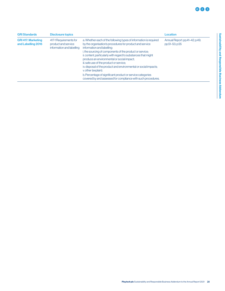| <b>GRI Standards</b>                            | <b>Disclosure topics</b>                                                   |                                                                                                                                                                                                                                                                                                                                                                                                                                                                                                                                                                                                              | Location                                         |
|-------------------------------------------------|----------------------------------------------------------------------------|--------------------------------------------------------------------------------------------------------------------------------------------------------------------------------------------------------------------------------------------------------------------------------------------------------------------------------------------------------------------------------------------------------------------------------------------------------------------------------------------------------------------------------------------------------------------------------------------------------------|--------------------------------------------------|
| <b>GRI 417: Marketing</b><br>and Labelling 2016 | 417-1 Requirements for<br>product and service<br>information and labelling | a. Whether each of the following types of information is required<br>by the organisation's procedures for product and service<br>information and labelling:<br>i. the sourcing of components of the product or service;<br>ii. content, particularly with regard to substances that might<br>produce an environmental or social impact;<br>iii. safe use of the product or service;<br>iv. disposal of the product and environmental or social impacts;<br>v. other (explain).<br>b. Percentage of significant product or service categories<br>covered by and assessed for compliance with such procedures. | Annual Report: pp.41-42; p.49;<br>pp.51-53; p.55 |
|                                                 |                                                                            |                                                                                                                                                                                                                                                                                                                                                                                                                                                                                                                                                                                                              |                                                  |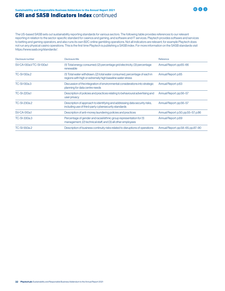The US-based SASB sets out sustainability reporting standards for various sectors. The following table provides references to our relevant reporting in relation to the sector-specific standard for casinos and gaming, and software and IT services. Playtech provides software and services to betting and gaming operators, and also runs its own B2C online gambling operations. Not all indicators are relevant; for example Playtech does not run any physical casino operations. This is the first time Playtech is publishing a SASB index. For more information on the SASB standards visit https://www.sasb.org/standards/.

**BOO** 

| Disclosure number       | Disclosure title                                                                                                                        | Reference                           |
|-------------------------|-----------------------------------------------------------------------------------------------------------------------------------------|-------------------------------------|
| SV-CA-130a1/TC-SI-130a1 | (1) Total energy consumed; (2) percentage grid electricity; (3) percentage<br>renewable                                                 | Annual Report: pp.65-66             |
| TC-SI-130a.2            | (1) Total water withdrawn; (2) total water consumed, percentage of each in<br>regions with high or extremely high baseline water stress | Annual Report: p.65                 |
| TC-SI-130a.3            | Discussion of the integration of environmental considerations into strategic<br>planning for data centre needs                          | Annual Report: p.63                 |
| TC-SI-220a.1            | Description of policies and practices relating to behavioural advertising and<br>user privacy                                           | Annual Report: pp.56-57             |
| TC-SI-230a.2            | Description of approach to identifying and addressing data security risks,<br>including use of third-party cybersecurity standards      | Annual Report: pp.56-57             |
| SV-CA-510a.1            | Description of anti-money laundering policies and practices                                                                             | Annual Report: p.50; pp.55-57; p.86 |
| TC-SI-330a.3            | Percentage of gender and racial/ethnic group representation for (1)<br>management, (2) technical staff, and (3) all other employees     | Annual Report: p.69                 |
| TC-SI-550a.2            | Description of business continuity risks related to disruptions of operations                                                           | Annual Report: pp.58–65; pp.87–90   |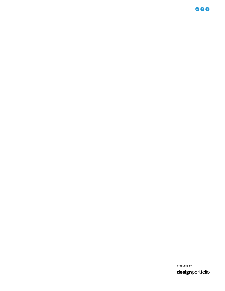**BOO** 

Produced by designportfolio